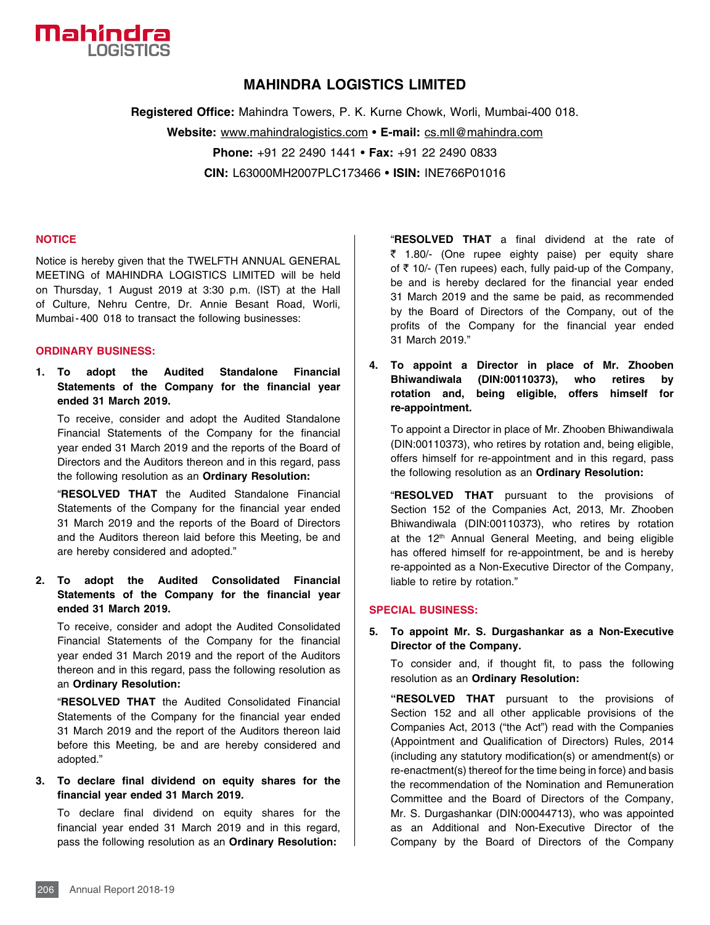

## **MAHINDRA LOGISTICS LIMITED**

**Registered Office:** Mahindra Towers, P. K. Kurne Chowk, Worli, Mumbai-400 018. **Website:** www.mahindralogistics.com • **E-mail:** cs.mll@mahindra.com **Phone:** +91 22 2490 1441 • **Fax:** +91 22 2490 0833 **CIN:** L63000MH2007PLC173466 • **ISIN:** INE766P01016

#### **NOTICE**

Notice is hereby given that the TWELFTH ANNUAL GENERAL MEETING of MAHINDRA LOGISTICS LIMITED will be held on Thursday, 1 August 2019 at 3:30 p.m. (IST) at the Hall of Culture, Nehru Centre, Dr. Annie Besant Road, Worli, Mumbai-400 018 to transact the following businesses:

#### **ORDINARY BUSINESS:**

**1. To adopt the Audited Standalone Financial Statements of the Company for the financial year ended 31 March 2019.** 

 To receive, consider and adopt the Audited Standalone Financial Statements of the Company for the financial year ended 31 March 2019 and the reports of the Board of Directors and the Auditors thereon and in this regard, pass the following resolution as an **Ordinary Resolution:**

 "**RESOLVED THAT** the Audited Standalone Financial Statements of the Company for the financial year ended 31 March 2019 and the reports of the Board of Directors and the Auditors thereon laid before this Meeting, be and are hereby considered and adopted."

#### **2. To adopt the Audited Consolidated Financial Statements of the Company for the financial year ended 31 March 2019.**

 To receive, consider and adopt the Audited Consolidated Financial Statements of the Company for the financial year ended 31 March 2019 and the report of the Auditors thereon and in this regard, pass the following resolution as an **Ordinary Resolution:**

 "**RESOLVED THAT** the Audited Consolidated Financial Statements of the Company for the financial year ended 31 March 2019 and the report of the Auditors thereon laid before this Meeting, be and are hereby considered and adopted."

#### **3. To declare final dividend on equity shares for the financial year ended 31 March 2019.**

 To declare final dividend on equity shares for the financial year ended 31 March 2019 and in this regard, pass the following resolution as an **Ordinary Resolution:**

 "**RESOLVED THAT** a final dividend at the rate of  $\bar{z}$  1.80/- (One rupee eighty paise) per equity share of  $\bar{\tau}$  10/- (Ten rupees) each, fully paid-up of the Company, be and is hereby declared for the financial year ended 31 March 2019 and the same be paid, as recommended by the Board of Directors of the Company, out of the profits of the Company for the financial year ended 31 March 2019."

**4. To appoint a Director in place of Mr. Zhooben Bhiwandiwala (DIN:00110373), who retires by rotation and, being eligible, offers himself for re-appointment.**

 To appoint a Director in place of Mr. Zhooben Bhiwandiwala (DIN:00110373), who retires by rotation and, being eligible, offers himself for re-appointment and in this regard, pass the following resolution as an **Ordinary Resolution:**

 "**RESOLVED THAT** pursuant to the provisions of Section 152 of the Companies Act, 2013, Mr. Zhooben Bhiwandiwala (DIN:00110373), who retires by rotation at the 12<sup>th</sup> Annual General Meeting, and being eligible has offered himself for re-appointment, be and is hereby re-appointed as a Non-Executive Director of the Company, liable to retire by rotation."

#### **SPECIAL BUSINESS:**

### **5. To appoint Mr. S. Durgashankar as a Non-Executive Director of the Company.**

 To consider and, if thought fit, to pass the following resolution as an **Ordinary Resolution:**

 **"RESOLVED THAT** pursuant to the provisions of Section 152 and all other applicable provisions of the Companies Act, 2013 ("the Act") read with the Companies (Appointment and Qualification of Directors) Rules, 2014 (including any statutory modification(s) or amendment(s) or re-enactment(s) thereof for the time being in force) and basis the recommendation of the Nomination and Remuneration Committee and the Board of Directors of the Company, Mr. S. Durgashankar (DIN:00044713), who was appointed as an Additional and Non-Executive Director of the Company by the Board of Directors of the Company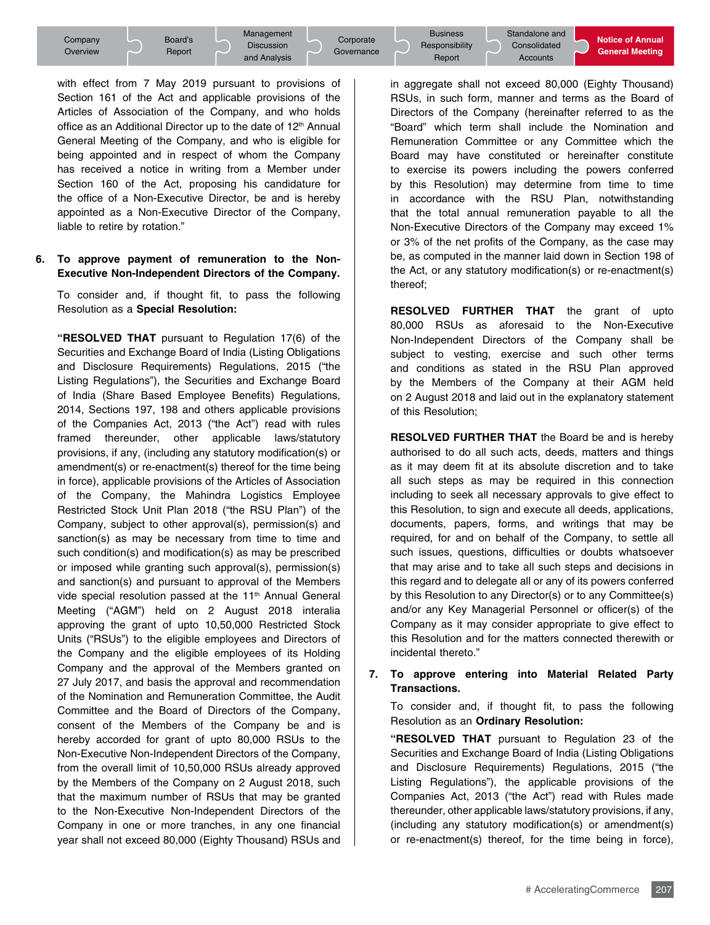with effect from 7 May 2019 pursuant to provisions of Section 161 of the Act and applicable provisions of the Articles of Association of the Company, and who holds office as an Additional Director up to the date of 12<sup>th</sup> Annual General Meeting of the Company, and who is eligible for being appointed and in respect of whom the Company has received a notice in writing from a Member under Section 160 of the Act, proposing his candidature for the office of a Non-Executive Director, be and is hereby appointed as a Non-Executive Director of the Company, liable to retire by rotation."

#### **6. To approve payment of remuneration to the Non-Executive Non-Independent Directors of the Company.**

To consider and, if thought fit, to pass the following Resolution as a **Special Resolution:**

 **"RESOLVED THAT** pursuant to Regulation 17(6) of the Securities and Exchange Board of India (Listing Obligations and Disclosure Requirements) Regulations, 2015 ("the Listing Regulations"), the Securities and Exchange Board of India (Share Based Employee Benefits) Regulations, 2014, Sections 197, 198 and others applicable provisions of the Companies Act, 2013 ("the Act") read with rules framed thereunder, other applicable laws/statutory provisions, if any, (including any statutory modification(s) or amendment(s) or re-enactment(s) thereof for the time being in force), applicable provisions of the Articles of Association of the Company, the Mahindra Logistics Employee Restricted Stock Unit Plan 2018 ("the RSU Plan") of the Company, subject to other approval(s), permission(s) and sanction(s) as may be necessary from time to time and such condition(s) and modification(s) as may be prescribed or imposed while granting such approval(s), permission(s) and sanction(s) and pursuant to approval of the Members vide special resolution passed at the 11<sup>th</sup> Annual General Meeting ("AGM") held on 2 August 2018 interalia approving the grant of upto 10,50,000 Restricted Stock Units ("RSUs") to the eligible employees and Directors of the Company and the eligible employees of its Holding Company and the approval of the Members granted on 27 July 2017, and basis the approval and recommendation of the Nomination and Remuneration Committee, the Audit Committee and the Board of Directors of the Company, consent of the Members of the Company be and is hereby accorded for grant of upto 80,000 RSUs to the Non-Executive Non-Independent Directors of the Company, from the overall limit of 10,50,000 RSUs already approved by the Members of the Company on 2 August 2018, such that the maximum number of RSUs that may be granted to the Non-Executive Non-Independent Directors of the Company in one or more tranches, in any one financial year shall not exceed 80,000 (Eighty Thousand) RSUs and

Notice of Annual<br>General Meeting<br>O (Eighty Thousand) in aggregate shall not exceed 80,000 (Eighty Thousand) RSUs, in such form, manner and terms as the Board of Directors of the Company (hereinafter referred to as the "Board" which term shall include the Nomination and Remuneration Committee or any Committee which the Board may have constituted or hereinafter constitute to exercise its powers including the powers conferred by this Resolution) may determine from time to time in accordance with the RSU Plan, notwithstanding that the total annual remuneration payable to all the Non-Executive Directors of the Company may exceed 1% or 3% of the net profits of the Company, as the case may be, as computed in the manner laid down in Section 198 of the Act, or any statutory modification(s) or re-enactment(s) thereof;

 **RESOLVED FURTHER THAT** the grant of upto 80,000 RSUs as aforesaid to the Non-Executive Non-Independent Directors of the Company shall be subject to vesting, exercise and such other terms and conditions as stated in the RSU Plan approved by the Members of the Company at their AGM held on 2 August 2018 and laid out in the explanatory statement of this Resolution;

 **RESOLVED FURTHER THAT** the Board be and is hereby authorised to do all such acts, deeds, matters and things as it may deem fit at its absolute discretion and to take all such steps as may be required in this connection including to seek all necessary approvals to give effect to this Resolution, to sign and execute all deeds, applications, documents, papers, forms, and writings that may be required, for and on behalf of the Company, to settle all such issues, questions, difficulties or doubts whatsoever that may arise and to take all such steps and decisions in this regard and to delegate all or any of its powers conferred by this Resolution to any Director(s) or to any Committee(s) and/or any Key Managerial Personnel or officer(s) of the Company as it may consider appropriate to give effect to this Resolution and for the matters connected therewith or incidental thereto."

#### **7. To approve entering into Material Related Party Transactions.**

To consider and, if thought fit, to pass the following Resolution as an **Ordinary Resolution:**

**• "RESOLVED THAT** pursuant to Regulation 23 of the Securities and Exchange Board of India (Listing Obligations and Disclosure Requirements) Regulations, 2015 ("the Listing Regulations"), the applicable provisions of the Companies Act, 2013 ("the Act") read with Rules made thereunder, other applicable laws/statutory provisions, if any, (including any statutory modification(s) or amendment(s) or re-enactment(s) thereof, for the time being in force),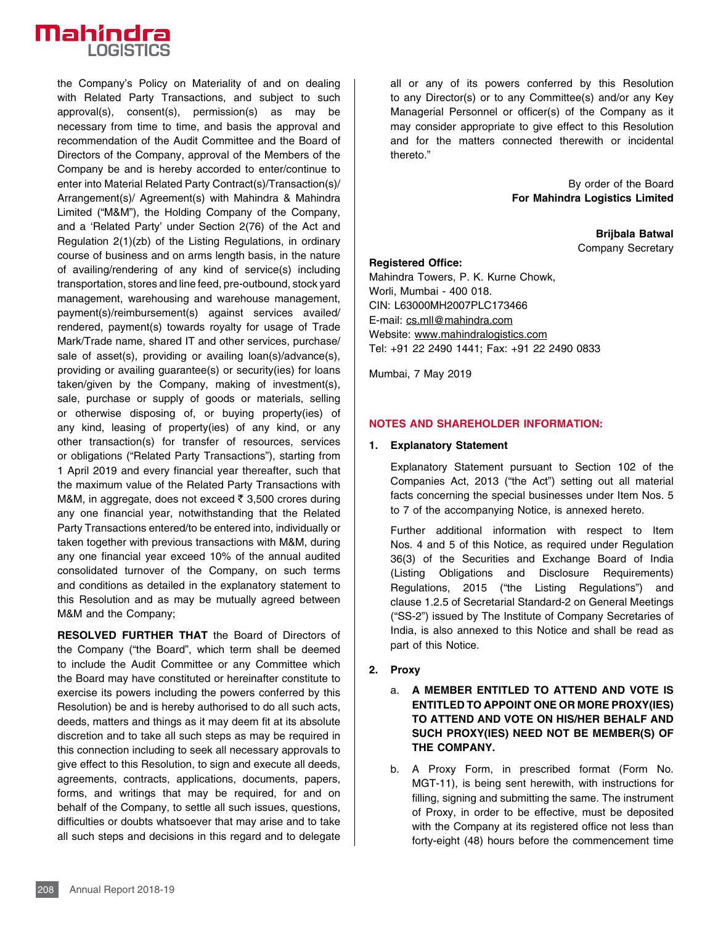

the Company's Policy on Materiality of and on dealing with Related Party Transactions, and subject to such approval(s), consent(s), permission(s) as may be necessary from time to time, and basis the approval and recommendation of the Audit Committee and the Board of Directors of the Company, approval of the Members of the Company be and is hereby accorded to enter/continue to enter into Material Related Party Contract(s)/Transaction(s)/ Arrangement(s)/ Agreement(s) with Mahindra & Mahindra Limited ("M&M"), the Holding Company of the Company, and a 'Related Party' under Section 2(76) of the Act and Regulation 2(1)(zb) of the Listing Regulations, in ordinary course of business and on arms length basis, in the nature of availing/rendering of any kind of service(s) including transportation, stores and line feed, pre-outbound, stock yard management, warehousing and warehouse management, payment(s)/reimbursement(s) against services availed/ rendered, payment(s) towards royalty for usage of Trade Mark/Trade name, shared IT and other services, purchase/ sale of asset(s), providing or availing loan(s)/advance(s), providing or availing guarantee(s) or security(ies) for loans taken/given by the Company, making of investment(s), sale, purchase or supply of goods or materials, selling or otherwise disposing of, or buying property(ies) of any kind, leasing of property(ies) of any kind, or any other transaction(s) for transfer of resources, services or obligations ("Related Party Transactions"), starting from 1 April 2019 and every financial year thereafter, such that the maximum value of the Related Party Transactions with M&M, in aggregate, does not exceed  $\bar{\tau}$  3,500 crores during any one financial year, notwithstanding that the Related Party Transactions entered/to be entered into, individually or taken together with previous transactions with M&M, during any one financial year exceed 10% of the annual audited consolidated turnover of the Company, on such terms and conditions as detailed in the explanatory statement to this Resolution and as may be mutually agreed between M&M and the Company;

 **RESOLVED FURTHER THAT** the Board of Directors of the Company ("the Board", which term shall be deemed to include the Audit Committee or any Committee which the Board may have constituted or hereinafter constitute to exercise its powers including the powers conferred by this Resolution) be and is hereby authorised to do all such acts, deeds, matters and things as it may deem fit at its absolute discretion and to take all such steps as may be required in this connection including to seek all necessary approvals to give effect to this Resolution, to sign and execute all deeds, agreements, contracts, applications, documents, papers, forms, and writings that may be required, for and on behalf of the Company, to settle all such issues, questions, difficulties or doubts whatsoever that may arise and to take all such steps and decisions in this regard and to delegate

all or any of its powers conferred by this Resolution to any Director(s) or to any Committee(s) and/or any Key Managerial Personnel or officer(s) of the Company as it may consider appropriate to give effect to this Resolution and for the matters connected therewith or incidental thereto."

> By order of the Board **For Mahindra Logistics Limited**

> > **Brijbala Batwal**  Company Secretary

#### **Registered Office:**

Mahindra Towers, P. K. Kurne Chowk, Worli, Mumbai - 400 018. CIN: L63000MH2007PLC173466 E-mail: cs.mll@mahindra.com Website: www.mahindralogistics.com Tel: +91 22 2490 1441; Fax: +91 22 2490 0833

Mumbai, 7 May 2019

#### **NOTES AND SHAREHOLDER INFORMATION:**

#### **1. Explanatory Statement**

Explanatory Statement pursuant to Section 102 of the Companies Act, 2013 ("the Act") setting out all material facts concerning the special businesses under Item Nos. 5 to 7 of the accompanying Notice, is annexed hereto.

 Further additional information with respect to Item Nos. 4 and 5 of this Notice, as required under Regulation 36(3) of the Securities and Exchange Board of India (Listing Obligations and Disclosure Requirements) Regulations, 2015 ("the Listing Regulations") and clause 1.2.5 of Secretarial Standard-2 on General Meetings ("SS-2") issued by The Institute of Company Secretaries of India, is also annexed to this Notice and shall be read as part of this Notice.

- **2. Proxy**
	- a. **A MEMBER ENTITLED TO ATTEND AND VOTE IS ENTITLED TO APPOINT ONE OR MORE PROXY(IES) TO ATTEND AND VOTE ON HIS/HER BEHALF AND SUCH PROXY(IES) NEED NOT BE MEMBER(S) OF THE COMPANY.**
	- b. A Proxy Form, in prescribed format (Form No. MGT-11), is being sent herewith, with instructions for filling, signing and submitting the same. The instrument of Proxy, in order to be effective, must be deposited with the Company at its registered office not less than forty-eight (48) hours before the commencement time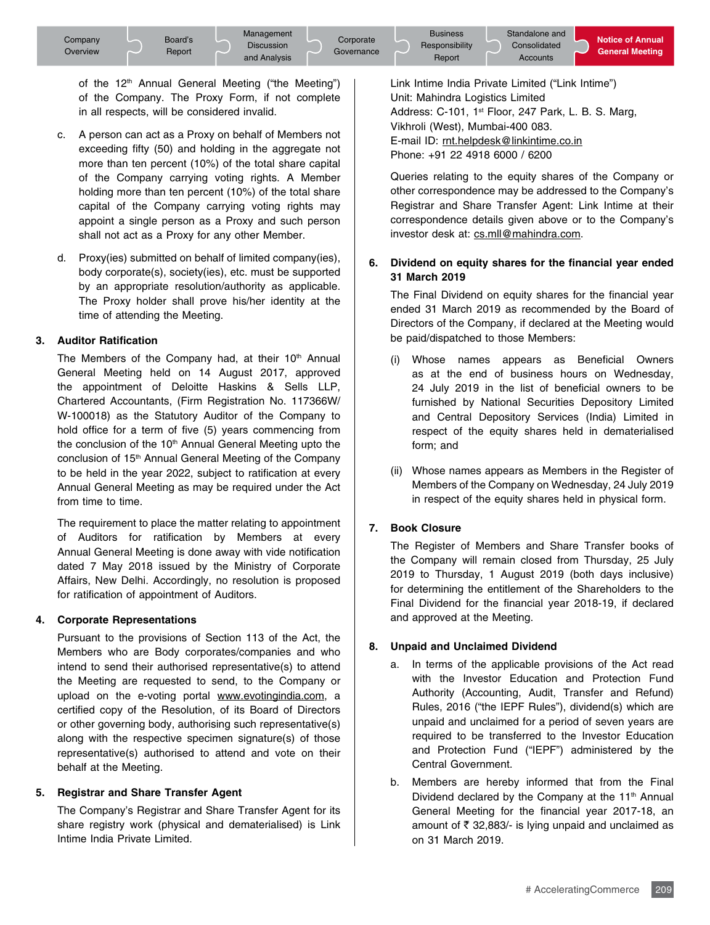of the 12<sup>th</sup> Annual General Meeting ("the Meeting") of the Company. The Proxy Form, if not complete in all respects, will be considered invalid.

- c. A person can act as a Proxy on behalf of Members not exceeding fifty (50) and holding in the aggregate not more than ten percent (10%) of the total share capital of the Company carrying voting rights. A Member holding more than ten percent (10%) of the total share capital of the Company carrying voting rights may appoint a single person as a Proxy and such person shall not act as a Proxy for any other Member.
- d. Proxy(ies) submitted on behalf of limited company(ies), body corporate(s), society(ies), etc. must be supported by an appropriate resolution/authority as applicable. The Proxy holder shall prove his/her identity at the time of attending the Meeting.

#### **3. Auditor Ratification**

The Members of the Company had, at their 10<sup>th</sup> Annual General Meeting held on 14 August 2017, approved the appointment of Deloitte Haskins & Sells LLP, Chartered Accountants, (Firm Registration No. 117366W/ W-100018) as the Statutory Auditor of the Company to hold office for a term of five (5) years commencing from the conclusion of the  $10<sup>th</sup>$  Annual General Meeting upto the conclusion of 15<sup>th</sup> Annual General Meeting of the Company to be held in the year 2022, subject to ratification at every Annual General Meeting as may be required under the Act from time to time.

 The requirement to place the matter relating to appointment of Auditors for ratification by Members at every Annual General Meeting is done away with vide notification dated 7 May 2018 issued by the Ministry of Corporate Affairs, New Delhi. Accordingly, no resolution is proposed for ratification of appointment of Auditors.

#### **4. Corporate Representations**

 Pursuant to the provisions of Section 113 of the Act, the Members who are Body corporates/companies and who intend to send their authorised representative(s) to attend the Meeting are requested to send, to the Company or upload on the e-voting portal www.evotingindia.com, a certified copy of the Resolution, of its Board of Directors or other governing body, authorising such representative(s) along with the respective specimen signature(s) of those representative(s) authorised to attend and vote on their behalf at the Meeting.

## **5. Registrar and Share Transfer Agent**

 The Company's Registrar and Share Transfer Agent for its share registry work (physical and dematerialised) is Link Intime India Private Limited.

Link Intime India Private Limited ("Link Intime") Unit: Mahindra Logistics Limited Address: C-101, 1<sup>st</sup> Floor, 247 Park, L. B. S. Marg, Vikhroli (West), Mumbai-400 083. E-mail ID: rnt.helpdesk@linkintime.co.in Phone: +91 22 4918 6000 / 6200

 Queries relating to the equity shares of the Company or other correspondence may be addressed to the Company's Registrar and Share Transfer Agent: Link Intime at their correspondence details given above or to the Company's investor desk at: cs.mll@mahindra.com.

## **6. Dividend on equity shares for the financial year ended 31 March 2019**

 The Final Dividend on equity shares for the financial year ended 31 March 2019 as recommended by the Board of Directors of the Company, if declared at the Meeting would be paid/dispatched to those Members:

- (i) Whose names appears as Beneficial Owners as at the end of business hours on Wednesday, 24 July 2019 in the list of beneficial owners to be furnished by National Securities Depository Limited and Central Depository Services (India) Limited in respect of the equity shares held in dematerialised form; and
- (ii) Whose names appears as Members in the Register of Members of the Company on Wednesday, 24 July 2019 in respect of the equity shares held in physical form.

## **7. Book Closure**

 The Register of Members and Share Transfer books of the Company will remain closed from Thursday, 25 July 2019 to Thursday, 1 August 2019 (both days inclusive) for determining the entitlement of the Shareholders to the Final Dividend for the financial year 2018-19, if declared and approved at the Meeting.

## **8. Unpaid and Unclaimed Dividend**

- a. In terms of the applicable provisions of the Act read with the Investor Education and Protection Fund Authority (Accounting, Audit, Transfer and Refund) Rules, 2016 ("the IEPF Rules"), dividend(s) which are unpaid and unclaimed for a period of seven years are required to be transferred to the Investor Education and Protection Fund ("IEPF") administered by the Central Government.
- **•** b. Members are hereby informed that from the Final Dividend declared by the Company at the 11<sup>th</sup> Annual General Meeting for the financial year 2017-18, an amount of  $\bar{\tau}$  32,883/- is lying unpaid and unclaimed as on 31 March 2019.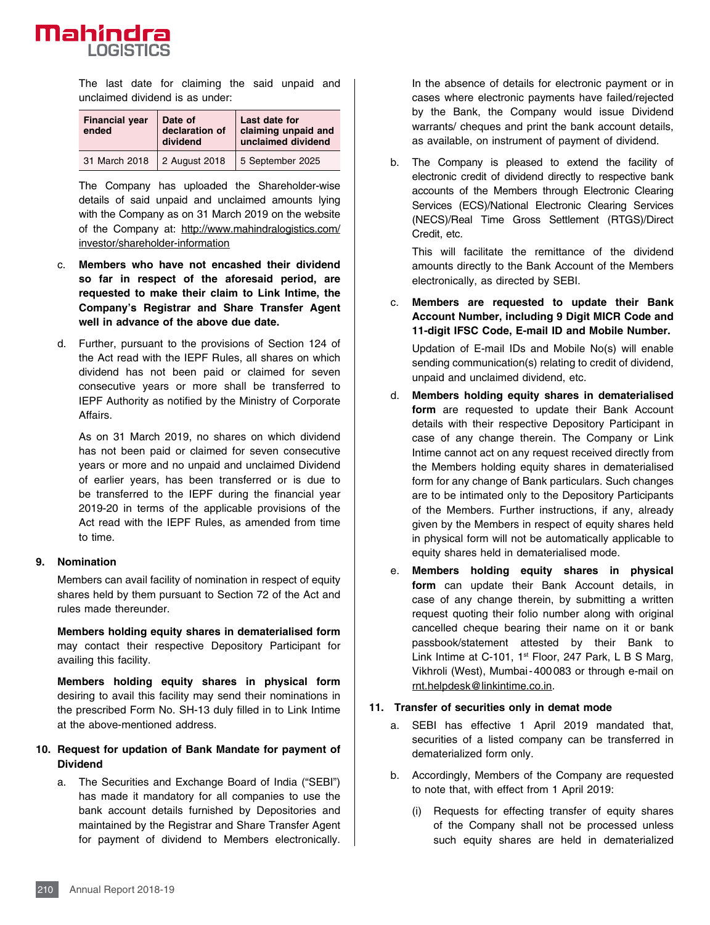

 The last date for claiming the said unpaid and unclaimed dividend is as under:

| <b>Financial year</b><br>ended | Date of<br>declaration of<br>dividend | Last date for<br>claiming unpaid and<br>unclaimed dividend |
|--------------------------------|---------------------------------------|------------------------------------------------------------|
| 31 March 2018                  | 2 August 2018                         | 5 September 2025                                           |

 The Company has uploaded the Shareholder-wise details of said unpaid and unclaimed amounts lying with the Company as on 31 March 2019 on the website of the Company at: http://www.mahindralogistics.com/ investor/shareholder-information

- c. **Members who have not encashed their dividend so far in respect of the aforesaid period, are requested to make their claim to Link Intime, the Company's Registrar and Share Transfer Agent well in advance of the above due date.**
- d. Further, pursuant to the provisions of Section 124 of the Act read with the IEPF Rules, all shares on which dividend has not been paid or claimed for seven consecutive years or more shall be transferred to IEPF Authority as notified by the Ministry of Corporate Affairs.

 As on 31 March 2019, no shares on which dividend has not been paid or claimed for seven consecutive years or more and no unpaid and unclaimed Dividend of earlier years, has been transferred or is due to be transferred to the IEPF during the financial year 2019-20 in terms of the applicable provisions of the Act read with the IEPF Rules, as amended from time to time.

#### **9. Nomination**

 Members can avail facility of nomination in respect of equity shares held by them pursuant to Section 72 of the Act and rules made thereunder.

 **Members holding equity shares in dematerialised form** may contact their respective Depository Participant for availing this facility.

**Members holding equity shares in physical form** desiring to avail this facility may send their nominations in the prescribed Form No. SH-13 duly filled in to Link Intime at the above-mentioned address.

#### **10. Request for updation of Bank Mandate for payment of Dividend**

a. The Securities and Exchange Board of India ("SEBI") has made it mandatory for all companies to use the bank account details furnished by Depositories and maintained by the Registrar and Share Transfer Agent for payment of dividend to Members electronically.

In the absence of details for electronic payment or in cases where electronic payments have failed/rejected by the Bank, the Company would issue Dividend warrants/ cheques and print the bank account details, as available, on instrument of payment of dividend.

b. The Company is pleased to extend the facility of electronic credit of dividend directly to respective bank accounts of the Members through Electronic Clearing Services (ECS)/National Electronic Clearing Services (NECS)/Real Time Gross Settlement (RTGS)/Direct Credit, etc.

 This will facilitate the remittance of the dividend amounts directly to the Bank Account of the Members electronically, as directed by SEBI.

c. **Members are requested to update their Bank Account Number, including 9 Digit MICR Code and 11-digit IFSC Code, E-mail ID and Mobile Number.** 

 Updation of E-mail IDs and Mobile No(s) will enable sending communication(s) relating to credit of dividend, unpaid and unclaimed dividend, etc.

- d. **Members holding equity shares in dematerialised form** are requested to update their Bank Account details with their respective Depository Participant in case of any change therein. The Company or Link Intime cannot act on any request received directly from the Members holding equity shares in dematerialised form for any change of Bank particulars. Such changes are to be intimated only to the Depository Participants of the Members. Further instructions, if any, already given by the Members in respect of equity shares held in physical form will not be automatically applicable to equity shares held in dematerialised mode.
- e. **Members holding equity shares in physical form** can update their Bank Account details, in case of any change therein, by submitting a written request quoting their folio number along with original cancelled cheque bearing their name on it or bank passbook/statement attested by their Bank to Link Intime at C-101, 1<sup>st</sup> Floor, 247 Park, L B S Marg, Vikhroli (West), Mumbai-400083 or through e-mail on rnt.helpdesk@linkintime.co.in.

#### **11. Transfer of securities only in demat mode**

- a. SEBI has effective 1 April 2019 mandated that, securities of a listed company can be transferred in dematerialized form only.
- b. Accordingly, Members of the Company are requested to note that, with effect from 1 April 2019:
	- (i) Requests for effecting transfer of equity shares of the Company shall not be processed unless such equity shares are held in dematerialized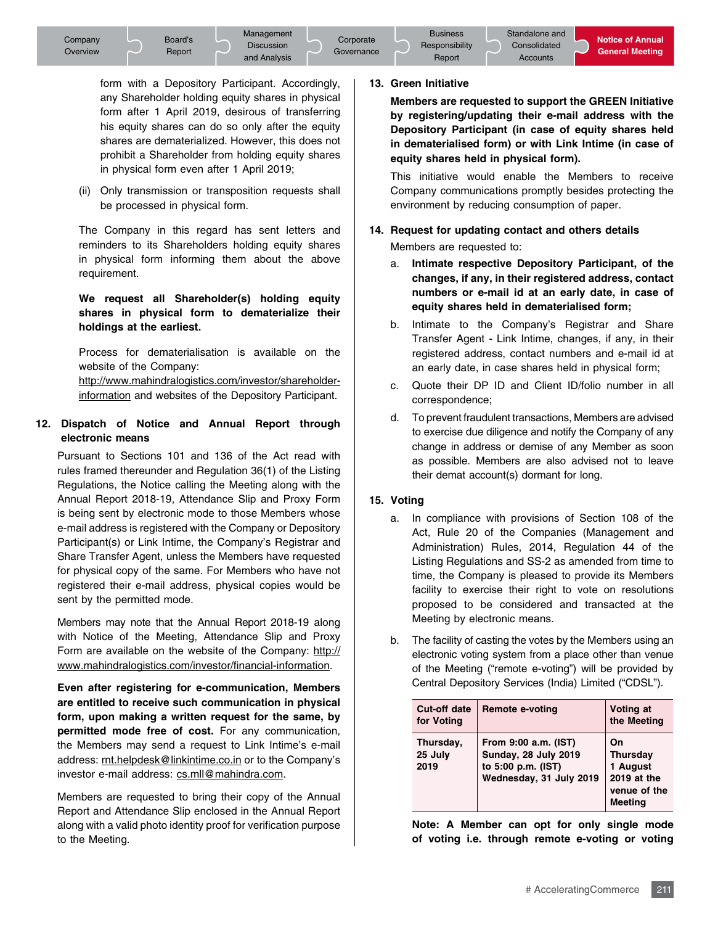form with a Depository Participant. Accordingly, any Shareholder holding equity shares in physical form after 1 April 2019, desirous of transferring his equity shares can do so only after the equity shares are dematerialized. However, this does not prohibit a Shareholder from holding equity shares in physical form even after 1 April 2019;

 (ii) Only transmission or transposition requests shall be processed in physical form.

 The Company in this regard has sent letters and reminders to its Shareholders holding equity shares in physical form informing them about the above requirement.

#### **We request all Shareholder(s) holding equity shares in physical form to dematerialize their holdings at the earliest.**

 Process for dematerialisation is available on the website of the Company: http://www.mahindralogistics.com/investor/shareholderinformation and websites of the Depository Participant.

#### **12. Dispatch of Notice and Annual Report through electronic means**

 Pursuant to Sections 101 and 136 of the Act read with rules framed thereunder and Regulation 36(1) of the Listing Regulations, the Notice calling the Meeting along with the Annual Report 2018-19, Attendance Slip and Proxy Form is being sent by electronic mode to those Members whose e-mail address is registered with the Company or Depository Participant(s) or Link Intime, the Company's Registrar and Share Transfer Agent, unless the Members have requested for physical copy of the same. For Members who have not registered their e-mail address, physical copies would be sent by the permitted mode.

 Members may note that the Annual Report 2018-19 along with Notice of the Meeting, Attendance Slip and Proxy Form are available on the website of the Company: http:// www.mahindralogistics.com/investor/financial-information.

 **Even after registering for e-communication, Members are entitled to receive such communication in physical form, upon making a written request for the same, by permitted mode free of cost.** For any communication, the Members may send a request to Link Intime's e-mail address: rnt.helpdesk@linkintime.co.in or to the Company's investor e-mail address: cs.mll@mahindra.com.

 Members are requested to bring their copy of the Annual Report and Attendance Slip enclosed in the Annual Report along with a valid photo identity proof for verification purpose to the Meeting.

#### **13. Green Initiative**

 **Members are requested to support the GREEN Initiative by registering/updating their e-mail address with the Depository Participant (in case of equity shares held in dematerialised form) or with Link Intime (in case of equity shares held in physical form).**

 This initiative would enable the Members to receive Company communications promptly besides protecting the environment by reducing consumption of paper.

## **14. Request for updating contact and others details**

Members are requested to:

- a. **Intimate respective Depository Participant, of the changes, if any, in their registered address, contact numbers or e-mail id at an early date, in case of equity shares held in dematerialised form;**
- b. Intimate to the Company's Registrar and Share Transfer Agent - Link Intime, changes, if any, in their registered address, contact numbers and e-mail id at an early date, in case shares held in physical form;
- c. Quote their DP ID and Client ID/folio number in all correspondence;
- d. To prevent fraudulent transactions, Members are advised to exercise due diligence and notify the Company of any change in address or demise of any Member as soon as possible. Members are also advised not to leave their demat account(s) dormant for long.

#### **15. Voting**

- a. In compliance with provisions of Section 108 of the Act, Rule 20 of the Companies (Management and Administration) Rules, 2014, Regulation 44 of the Listing Regulations and SS-2 as amended from time to time, the Company is pleased to provide its Members facility to exercise their right to vote on resolutions proposed to be considered and transacted at the Meeting by electronic means.
- b. The facility of casting the votes by the Members using an electronic voting system from a place other than venue of the Meeting ("remote e-voting") will be provided by Central Depository Services (India) Limited ("CDSL").

| <b>Cut-off date</b><br>for Voting | <b>Remote e-voting</b>                                                                               | Voting at<br>the Meeting                                                    |
|-----------------------------------|------------------------------------------------------------------------------------------------------|-----------------------------------------------------------------------------|
| Thursday,<br>25 July<br>2019      | From 9:00 a.m. (IST)<br><b>Sunday, 28 July 2019</b><br>to 5:00 p.m. (IST)<br>Wednesday, 31 July 2019 | On<br><b>Thursday</b><br>1 August<br>2019 at the<br>venue of the<br>Meetina |

**• Note: A Member can opt for only single mode of voting i.e. through remote e-voting or voting**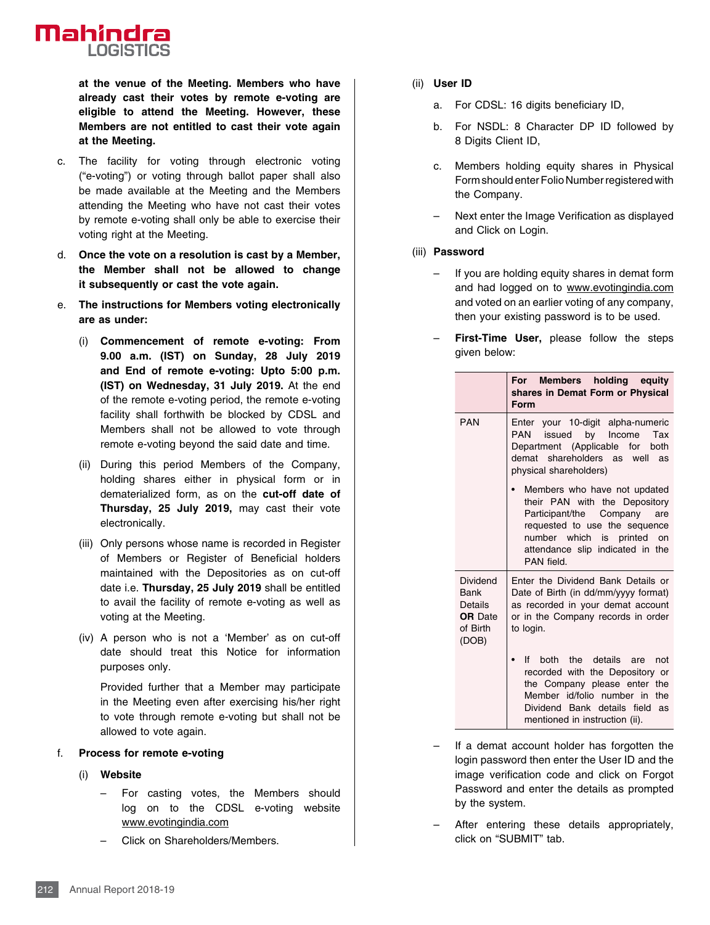

**at the venue of the Meeting. Members who have already cast their votes by remote e-voting are eligible to attend the Meeting. However, these Members are not entitled to cast their vote again at the Meeting.**

- c. The facility for voting through electronic voting ("e-voting") or voting through ballot paper shall also be made available at the Meeting and the Members attending the Meeting who have not cast their votes by remote e-voting shall only be able to exercise their voting right at the Meeting.
- d. **Once the vote on a resolution is cast by a Member, the Member shall not be allowed to change it subsequently or cast the vote again.**
- e. **The instructions for Members voting electronically are as under:**
	- (i) **Commencement of remote e-voting: From 9.00 a.m. (IST) on Sunday, 28 July 2019 and End of remote e-voting: Upto 5:00 p.m. (IST) on Wednesday, 31 July 2019.** At the end of the remote e-voting period, the remote e-voting facility shall forthwith be blocked by CDSL and Members shall not be allowed to vote through remote e-voting beyond the said date and time.
	- (ii) During this period Members of the Company, holding shares either in physical form or in dematerialized form, as on the **cut-off date of Thursday, 25 July 2019,** may cast their vote electronically.
	- (iii) Only persons whose name is recorded in Register of Members or Register of Beneficial holders maintained with the Depositories as on cut-off date i.e. **Thursday, 25 July 2019** shall be entitled to avail the facility of remote e-voting as well as voting at the Meeting.
	- (iv) A person who is not a 'Member' as on cut-off date should treat this Notice for information purposes only.

 Provided further that a Member may participate in the Meeting even after exercising his/her right to vote through remote e-voting but shall not be allowed to vote again.

#### f. **Process for remote e-voting**

- (i) **Website**
	- For casting votes, the Members should log on to the CDSL e-voting website www.evotingindia.com
	- Click on Shareholders/Members.
- (ii) **User ID**
	- a. For CDSL: 16 digits beneficiary ID,
	- b. For NSDL: 8 Character DP ID followed by 8 Digits Client ID,
	- c. Members holding equity shares in Physical Form should enter Folio Number registered with the Company.
	- Next enter the Image Verification as displayed and Click on Login.

#### (iii) **Password**

- If you are holding equity shares in demat form and had logged on to www.evotingindia.com and voted on an earlier voting of any company, then your existing password is to be used.
- **First-Time User,** please follow the steps given below:

|                                                                    | Members holding equity<br>For<br>shares in Demat Form or Physical<br>Form                                                                                                                                                                                                                                                                                                             |  |  |
|--------------------------------------------------------------------|---------------------------------------------------------------------------------------------------------------------------------------------------------------------------------------------------------------------------------------------------------------------------------------------------------------------------------------------------------------------------------------|--|--|
| <b>PAN</b>                                                         | Enter your 10-digit alpha-numeric<br>issued by Income<br>Tax<br>PAN<br>Department (Applicable for both<br>demat shareholders as well<br>as<br>physical shareholders)<br>Members who have not updated<br>their PAN with the Depository<br>Participant/the Company are<br>requested to use the sequence<br>number which is printed on<br>attendance slip indicated in the<br>PAN field. |  |  |
|                                                                    |                                                                                                                                                                                                                                                                                                                                                                                       |  |  |
| Dividend<br>Bank<br>Details<br><b>OR</b> Date<br>of Birth<br>(DOB) | Enter the Dividend Bank Details or<br>Date of Birth (in dd/mm/yyyy format)<br>as recorded in your demat account<br>or in the Company records in order<br>to login.                                                                                                                                                                                                                    |  |  |
|                                                                    | the details<br>lf -<br>hoth<br>not<br>are<br>recorded with the Depository or<br>the Company please enter the<br>Member id/folio number in<br>the<br>Dividend Bank details field<br>as<br>mentioned in instruction (ii).                                                                                                                                                               |  |  |

- If a demat account holder has forgotten the login password then enter the User ID and the image verification code and click on Forgot Password and enter the details as prompted by the system.
- After entering these details appropriately, click on "SUBMIT" tab.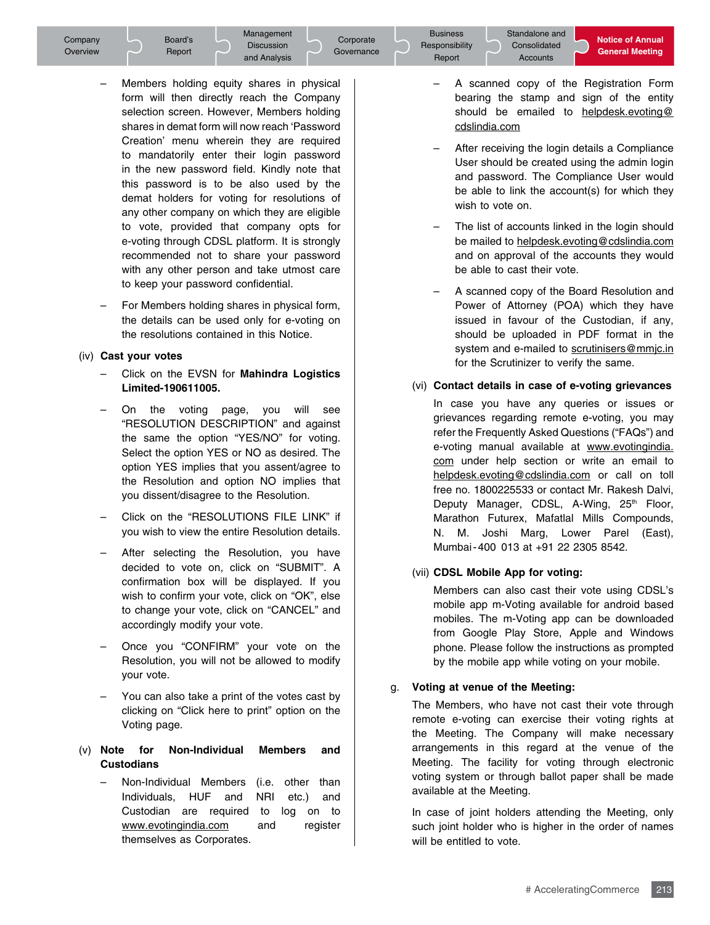Management Discussion and Analysis

Corporate **Governance** 

- Members holding equity shares in physical form will then directly reach the Company selection screen. However, Members holding shares in demat form will now reach 'Password Creation' menu wherein they are required to mandatorily enter their login password in the new password field. Kindly note that this password is to be also used by the demat holders for voting for resolutions of any other company on which they are eligible to vote, provided that company opts for e-voting through CDSL platform. It is strongly recommended not to share your password with any other person and take utmost care to keep your password confidential.
- For Members holding shares in physical form, the details can be used only for e-voting on the resolutions contained in this Notice.

## (iv) **Cast your votes**

- Click on the EVSN for **Mahindra Logistics Limited-190611005.**
- On the voting page, you will see "RESOLUTION DESCRIPTION" and against the same the option "YES/NO" for voting. Select the option YES or NO as desired. The option YES implies that you assent/agree to the Resolution and option NO implies that you dissent/disagree to the Resolution.
- Click on the "RESOLUTIONS FILE LINK" if you wish to view the entire Resolution details.
- After selecting the Resolution, you have decided to vote on, click on "SUBMIT". A confirmation box will be displayed. If you wish to confirm your vote, click on "OK", else to change your vote, click on "CANCEL" and accordingly modify your vote.
- Once you "CONFIRM" your vote on the Resolution, you will not be allowed to modify your vote.
- You can also take a print of the votes cast by clicking on "Click here to print" option on the Voting page.

## (v) **Note for Non-Individual Members and Custodians**

 – Non-Individual Members (i.e. other than Individuals, HUF and NRI etc.) and Custodian are required to log on to www.evotingindia.com and register themselves as Corporates.

- Notice of Annual<br>General Meeting<br>Begistration Form – A scanned copy of the Registration Form bearing the stamp and sign of the entity should be emailed to helpdesk.evoting@ cdslindia.com
- After receiving the login details a Compliance User should be created using the admin login and password. The Compliance User would be able to link the account(s) for which they wish to vote on.
- The list of accounts linked in the login should be mailed to helpdesk.evoting@cdslindia.com and on approval of the accounts they would be able to cast their vote.
- A scanned copy of the Board Resolution and Power of Attorney (POA) which they have issued in favour of the Custodian, if any, should be uploaded in PDF format in the system and e-mailed to scrutinisers@mmjc.in for the Scrutinizer to verify the same.

## (vi) **Contact details in case of e-voting grievances**

 In case you have any queries or issues or grievances regarding remote e-voting, you may refer the Frequently Asked Questions ("FAQs") and e-voting manual available at www.evotingindia. com under help section or write an email to helpdesk.evoting@cdslindia.com or call on toll free no. 1800225533 or contact Mr. Rakesh Dalvi, Deputy Manager, CDSL, A-Wing, 25<sup>th</sup> Floor, Marathon Futurex, Mafatlal Mills Compounds, N. M. Joshi Marg, Lower Parel (East), Mumbai-400 013 at +91 22 2305 8542.

## (vii) **CDSL Mobile App for voting:**

 Members can also cast their vote using CDSL's mobile app m-Voting available for android based mobiles. The m-Voting app can be downloaded from Google Play Store, Apple and Windows phone. Please follow the instructions as prompted by the mobile app while voting on your mobile.

## g. **Voting at venue of the Meeting:**

 The Members, who have not cast their vote through remote e-voting can exercise their voting rights at the Meeting. The Company will make necessary arrangements in this regard at the venue of the Meeting. The facility for voting through electronic voting system or through ballot paper shall be made available at the Meeting.

ames<br>213 In case of joint holders attending the Meeting, only such joint holder who is higher in the order of names will be entitled to vote.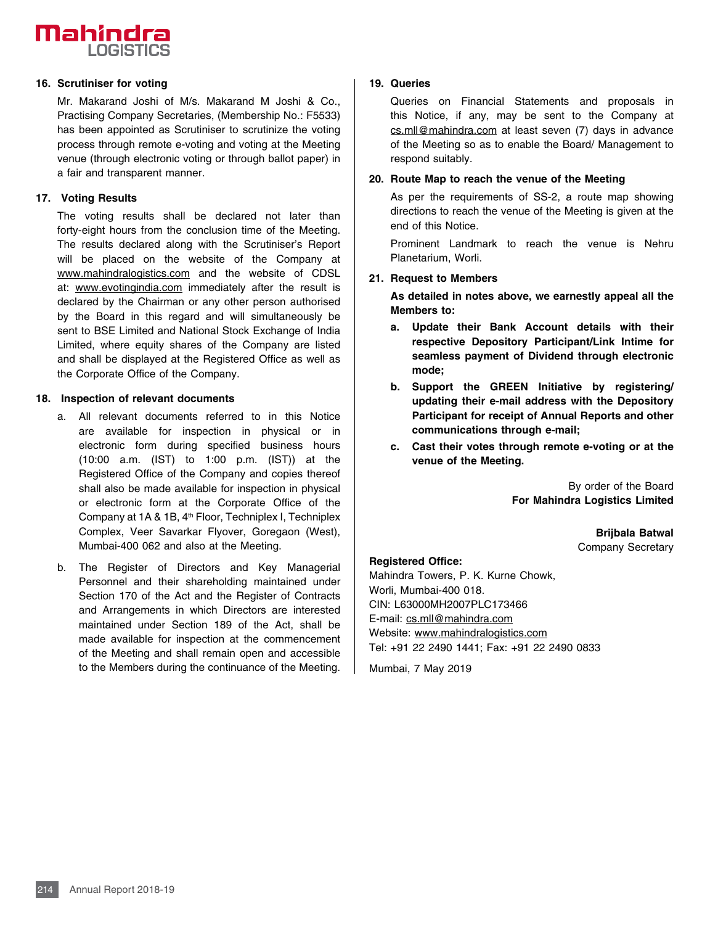# **Mahindra LOGISTICS**

#### **16. Scrutiniser for voting**

 Mr. Makarand Joshi of M/s. Makarand M Joshi & Co., Practising Company Secretaries, (Membership No.: F5533) has been appointed as Scrutiniser to scrutinize the voting process through remote e-voting and voting at the Meeting venue (through electronic voting or through ballot paper) in a fair and transparent manner.

#### **17. Voting Results**

 The voting results shall be declared not later than forty-eight hours from the conclusion time of the Meeting. The results declared along with the Scrutiniser's Report will be placed on the website of the Company at www.mahindralogistics.com and the website of CDSL at: www.evotingindia.com immediately after the result is declared by the Chairman or any other person authorised by the Board in this regard and will simultaneously be sent to BSE Limited and National Stock Exchange of India Limited, where equity shares of the Company are listed and shall be displayed at the Registered Office as well as the Corporate Office of the Company.

#### **18. Inspection of relevant documents**

- a. All relevant documents referred to in this Notice are available for inspection in physical or in electronic form during specified business hours (10:00 a.m. (IST) to 1:00 p.m. (IST)) at the Registered Office of the Company and copies thereof shall also be made available for inspection in physical or electronic form at the Corporate Office of the Company at 1A & 1B, 4th Floor, Techniplex I, Techniplex Complex, Veer Savarkar Flyover, Goregaon (West), Mumbai-400 062 and also at the Meeting.
- b. The Register of Directors and Key Managerial Personnel and their shareholding maintained under Section 170 of the Act and the Register of Contracts and Arrangements in which Directors are interested maintained under Section 189 of the Act, shall be made available for inspection at the commencement of the Meeting and shall remain open and accessible to the Members during the continuance of the Meeting.

#### **19. Queries**

 Queries on Financial Statements and proposals in this Notice, if any, may be sent to the Company at cs.mll@mahindra.com at least seven (7) days in advance of the Meeting so as to enable the Board/ Management to respond suitably.

#### **20. Route Map to reach the venue of the Meeting**

 As per the requirements of SS-2, a route map showing directions to reach the venue of the Meeting is given at the end of this Notice.

 Prominent Landmark to reach the venue is Nehru Planetarium, Worli.

### **21. Request to Members**

**As detailed in notes above, we earnestly appeal all the Members to:**

- **a. Update their Bank Account details with their respective Depository Participant/Link Intime for seamless payment of Dividend through electronic mode;**
- **b. Support the GREEN Initiative by registering/ updating their e-mail address with the Depository Participant for receipt of Annual Reports and other communications through e-mail;**
- **c. Cast their votes through remote e-voting or at the venue of the Meeting.**

By order of the Board **For Mahindra Logistics Limited**

> **Brijbala Batwal**  Company Secretary

#### **Registered Office:**

Mahindra Towers, P. K. Kurne Chowk, Worli, Mumbai-400 018. CIN: L63000MH2007PLC173466 E-mail: cs.mll@mahindra.com Website: www.mahindralogistics.com Tel: +91 22 2490 1441; Fax: +91 22 2490 0833

Mumbai, 7 May 2019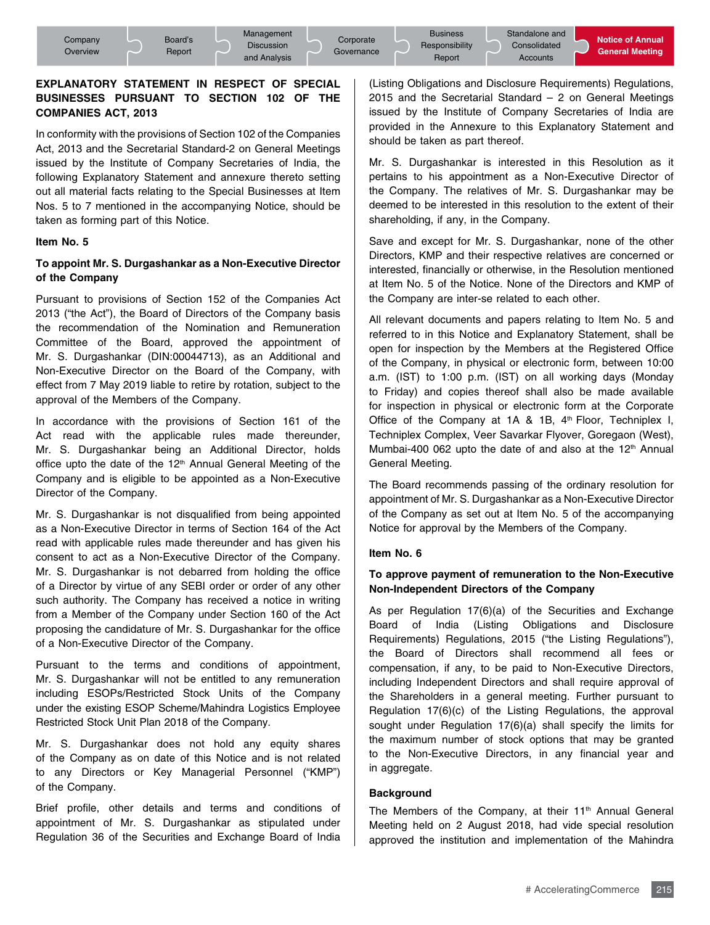## **EXPLANATORY STATEMENT IN RESPECT OF SPECIAL BUSINESSES PURSUANT TO SECTION 102 OF THE COMPANIES ACT, 2013**

In conformity with the provisions of Section 102 of the Companies Act, 2013 and the Secretarial Standard-2 on General Meetings issued by the Institute of Company Secretaries of India, the following Explanatory Statement and annexure thereto setting out all material facts relating to the Special Businesses at Item Nos. 5 to 7 mentioned in the accompanying Notice, should be taken as forming part of this Notice.

#### **Item No. 5**

## **To appoint Mr. S. Durgashankar as a Non-Executive Director of the Company**

Pursuant to provisions of Section 152 of the Companies Act 2013 ("the Act"), the Board of Directors of the Company basis the recommendation of the Nomination and Remuneration Committee of the Board, approved the appointment of Mr. S. Durgashankar (DIN:00044713), as an Additional and Non-Executive Director on the Board of the Company, with effect from 7 May 2019 liable to retire by rotation, subject to the approval of the Members of the Company.

In accordance with the provisions of Section 161 of the Act read with the applicable rules made thereunder, Mr. S. Durgashankar being an Additional Director, holds office upto the date of the 12<sup>th</sup> Annual General Meeting of the Company and is eligible to be appointed as a Non-Executive Director of the Company.

Mr. S. Durgashankar is not disqualified from being appointed as a Non-Executive Director in terms of Section 164 of the Act read with applicable rules made thereunder and has given his consent to act as a Non-Executive Director of the Company. Mr. S. Durgashankar is not debarred from holding the office of a Director by virtue of any SEBI order or order of any other such authority. The Company has received a notice in writing from a Member of the Company under Section 160 of the Act proposing the candidature of Mr. S. Durgashankar for the office of a Non-Executive Director of the Company.

Pursuant to the terms and conditions of appointment, Mr. S. Durgashankar will not be entitled to any remuneration including ESOPs/Restricted Stock Units of the Company under the existing ESOP Scheme/Mahindra Logistics Employee Restricted Stock Unit Plan 2018 of the Company.

Mr. S. Durgashankar does not hold any equity shares of the Company as on date of this Notice and is not related to any Directors or Key Managerial Personnel ("KMP") of the Company.

Brief profile, other details and terms and conditions of appointment of Mr. S. Durgashankar as stipulated under Regulation 36 of the Securities and Exchange Board of India

(Listing Obligations and Disclosure Requirements) Regulations, 2015 and the Secretarial Standard – 2 on General Meetings issued by the Institute of Company Secretaries of India are provided in the Annexure to this Explanatory Statement and should be taken as part thereof.

Mr. S. Durgashankar is interested in this Resolution as it pertains to his appointment as a Non-Executive Director of the Company. The relatives of Mr. S. Durgashankar may be deemed to be interested in this resolution to the extent of their shareholding, if any, in the Company.

Save and except for Mr. S. Durgashankar, none of the other Directors, KMP and their respective relatives are concerned or interested, financially or otherwise, in the Resolution mentioned at Item No. 5 of the Notice. None of the Directors and KMP of the Company are inter-se related to each other.

All relevant documents and papers relating to Item No. 5 and referred to in this Notice and Explanatory Statement, shall be open for inspection by the Members at the Registered Office of the Company, in physical or electronic form, between 10:00 a.m. (IST) to 1:00 p.m. (IST) on all working days (Monday to Friday) and copies thereof shall also be made available for inspection in physical or electronic form at the Corporate Office of the Company at 1A & 1B, 4<sup>th</sup> Floor, Techniplex I, Techniplex Complex, Veer Savarkar Flyover, Goregaon (West), Mumbai-400 062 upto the date of and also at the  $12<sup>th</sup>$  Annual General Meeting.

The Board recommends passing of the ordinary resolution for appointment of Mr. S. Durgashankar as a Non-Executive Director of the Company as set out at Item No. 5 of the accompanying Notice for approval by the Members of the Company.

#### **Item No. 6**

#### **To approve payment of remuneration to the Non-Executive Non-Independent Directors of the Company**

As per Regulation 17(6)(a) of the Securities and Exchange Board of India (Listing Obligations and Disclosure Requirements) Regulations, 2015 ("the Listing Regulations"), the Board of Directors shall recommend all fees or compensation, if any, to be paid to Non-Executive Directors, including Independent Directors and shall require approval of the Shareholders in a general meeting. Further pursuant to Regulation 17(6)(c) of the Listing Regulations, the approval sought under Regulation 17(6)(a) shall specify the limits for the maximum number of stock options that may be granted to the Non-Executive Directors, in any financial year and in aggregate.

#### **Background**

lution<br>**indra**<br>215 The Members of the Company, at their 11<sup>th</sup> Annual General Meeting held on 2 August 2018, had vide special resolution approved the institution and implementation of the Mahindra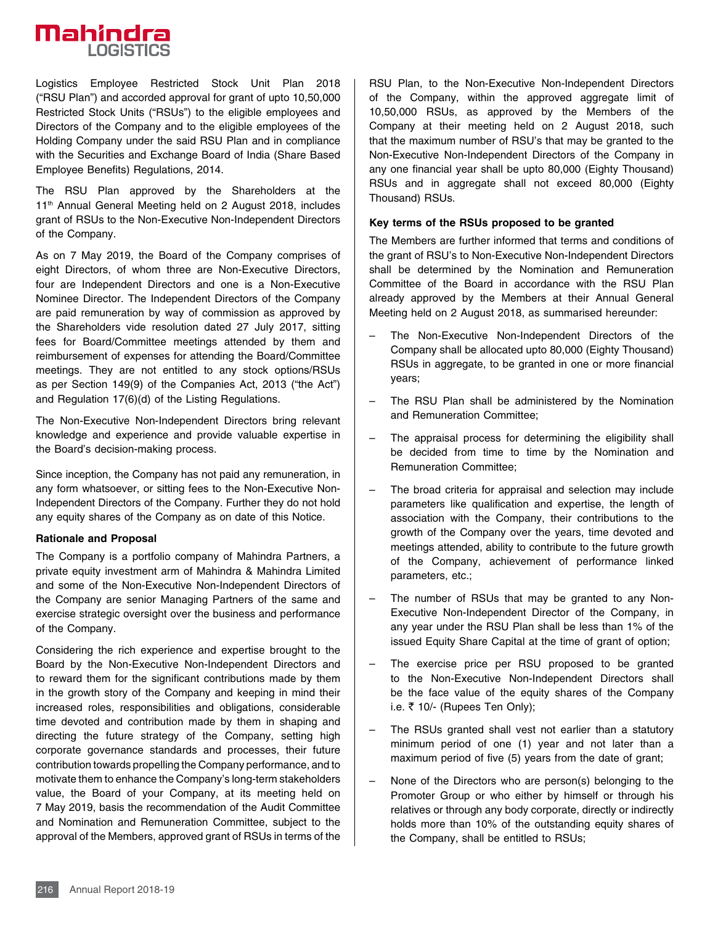# **Mahindra LOGISTICS**

Logistics Employee Restricted Stock Unit Plan 2018 ("RSU Plan") and accorded approval for grant of upto 10,50,000 Restricted Stock Units ("RSUs") to the eligible employees and Directors of the Company and to the eligible employees of the Holding Company under the said RSU Plan and in compliance with the Securities and Exchange Board of India (Share Based Employee Benefits) Regulations, 2014.

The RSU Plan approved by the Shareholders at the 11<sup>th</sup> Annual General Meeting held on 2 August 2018, includes grant of RSUs to the Non-Executive Non-Independent Directors of the Company.

As on 7 May 2019, the Board of the Company comprises of eight Directors, of whom three are Non-Executive Directors, four are Independent Directors and one is a Non-Executive Nominee Director. The Independent Directors of the Company are paid remuneration by way of commission as approved by the Shareholders vide resolution dated 27 July 2017, sitting fees for Board/Committee meetings attended by them and reimbursement of expenses for attending the Board/Committee meetings. They are not entitled to any stock options/RSUs as per Section 149(9) of the Companies Act, 2013 ("the Act") and Regulation 17(6)(d) of the Listing Regulations.

The Non-Executive Non-Independent Directors bring relevant knowledge and experience and provide valuable expertise in the Board's decision-making process.

Since inception, the Company has not paid any remuneration, in any form whatsoever, or sitting fees to the Non-Executive Non-Independent Directors of the Company. Further they do not hold any equity shares of the Company as on date of this Notice.

#### **Rationale and Proposal**

The Company is a portfolio company of Mahindra Partners, a private equity investment arm of Mahindra & Mahindra Limited and some of the Non-Executive Non-Independent Directors of the Company are senior Managing Partners of the same and exercise strategic oversight over the business and performance of the Company.

expect to the Members, approved grant of RSUs in terms of the<br>approval of the Members, approved grant of RSUs in terms of the<br>216 Annual Report 2018-19 Considering the rich experience and expertise brought to the Board by the Non-Executive Non-Independent Directors and to reward them for the significant contributions made by them in the growth story of the Company and keeping in mind their increased roles, responsibilities and obligations, considerable time devoted and contribution made by them in shaping and directing the future strategy of the Company, setting high corporate governance standards and processes, their future contribution towards propelling the Company performance, and to motivate them to enhance the Company's long-term stakeholders value, the Board of your Company, at its meeting held on 7 May 2019, basis the recommendation of the Audit Committee and Nomination and Remuneration Committee, subject to the

RSU Plan, to the Non-Executive Non-Independent Directors of the Company, within the approved aggregate limit of 10,50,000 RSUs, as approved by the Members of the Company at their meeting held on 2 August 2018, such that the maximum number of RSU's that may be granted to the Non-Executive Non-Independent Directors of the Company in any one financial year shall be upto 80,000 (Eighty Thousand) RSUs and in aggregate shall not exceed 80,000 (Eighty Thousand) RSUs.

#### **Key terms of the RSUs proposed to be granted**

The Members are further informed that terms and conditions of the grant of RSU's to Non-Executive Non-Independent Directors shall be determined by the Nomination and Remuneration Committee of the Board in accordance with the RSU Plan already approved by the Members at their Annual General Meeting held on 2 August 2018, as summarised hereunder:

- The Non-Executive Non-Independent Directors of the Company shall be allocated upto 80,000 (Eighty Thousand) RSUs in aggregate, to be granted in one or more financial years;
- The RSU Plan shall be administered by the Nomination and Remuneration Committee;
- The appraisal process for determining the eligibility shall be decided from time to time by the Nomination and Remuneration Committee;
- The broad criteria for appraisal and selection may include parameters like qualification and expertise, the length of association with the Company, their contributions to the growth of the Company over the years, time devoted and meetings attended, ability to contribute to the future growth of the Company, achievement of performance linked parameters, etc.;
- The number of RSUs that may be granted to any Non-Executive Non-Independent Director of the Company, in any year under the RSU Plan shall be less than 1% of the issued Equity Share Capital at the time of grant of option;
- The exercise price per RSU proposed to be granted to the Non-Executive Non-Independent Directors shall be the face value of the equity shares of the Company i.e.  $\bar{\tau}$  10/- (Rupees Ten Only);
- The RSUs granted shall vest not earlier than a statutory minimum period of one (1) year and not later than a maximum period of five (5) years from the date of grant;
- None of the Directors who are person(s) belonging to the Promoter Group or who either by himself or through his relatives or through any body corporate, directly or indirectly holds more than 10% of the outstanding equity shares of the Company, shall be entitled to RSUs;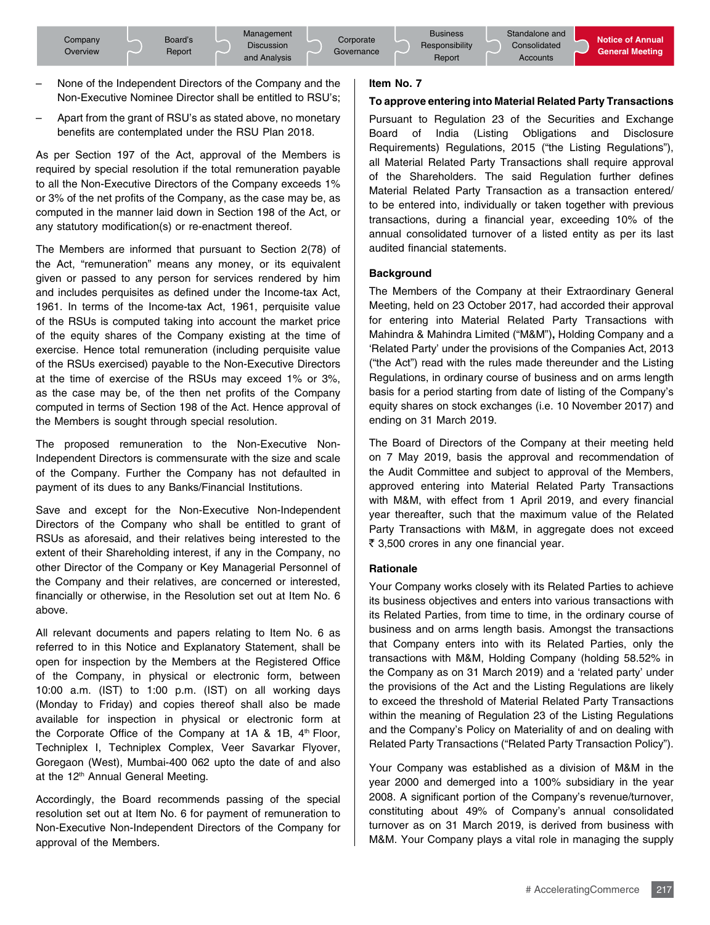- None of the Independent Directors of the Company and the Non-Executive Nominee Director shall be entitled to RSU's;
- Apart from the grant of RSU's as stated above, no monetary benefits are contemplated under the RSU Plan 2018.

As per Section 197 of the Act, approval of the Members is required by special resolution if the total remuneration payable to all the Non-Executive Directors of the Company exceeds 1% or 3% of the net profits of the Company, as the case may be, as computed in the manner laid down in Section 198 of the Act, or any statutory modification(s) or re-enactment thereof.

The Members are informed that pursuant to Section 2(78) of the Act, "remuneration" means any money, or its equivalent given or passed to any person for services rendered by him and includes perquisites as defined under the Income-tax Act, 1961. In terms of the Income-tax Act, 1961, perquisite value of the RSUs is computed taking into account the market price of the equity shares of the Company existing at the time of exercise. Hence total remuneration (including perquisite value of the RSUs exercised) payable to the Non-Executive Directors at the time of exercise of the RSUs may exceed 1% or 3%, as the case may be, of the then net profits of the Company computed in terms of Section 198 of the Act. Hence approval of the Members is sought through special resolution.

The proposed remuneration to the Non-Executive Non-Independent Directors is commensurate with the size and scale of the Company. Further the Company has not defaulted in payment of its dues to any Banks/Financial Institutions.

Save and except for the Non-Executive Non-Independent Directors of the Company who shall be entitled to grant of RSUs as aforesaid, and their relatives being interested to the extent of their Shareholding interest, if any in the Company, no other Director of the Company or Key Managerial Personnel of the Company and their relatives, are concerned or interested, financially or otherwise, in the Resolution set out at Item No. 6 above.

All relevant documents and papers relating to Item No. 6 as referred to in this Notice and Explanatory Statement, shall be open for inspection by the Members at the Registered Office of the Company, in physical or electronic form, between 10:00 a.m. (IST) to 1:00 p.m. (IST) on all working days (Monday to Friday) and copies thereof shall also be made available for inspection in physical or electronic form at the Corporate Office of the Company at  $1A \& 1B$ ,  $4<sup>th</sup>$  Floor, Techniplex I, Techniplex Complex, Veer Savarkar Flyover, Goregaon (West), Mumbai-400 062 upto the date of and also at the 12<sup>th</sup> Annual General Meeting.

Accordingly, the Board recommends passing of the special resolution set out at Item No. 6 for payment of remuneration to Non-Executive Non-Independent Directors of the Company for approval of the Members.

#### **Item No. 7**

#### **To approve entering into Material Related Party Transactions**

Pursuant to Regulation 23 of the Securities and Exchange Board of India (Listing Obligations and Disclosure Requirements) Regulations, 2015 ("the Listing Regulations"), all Material Related Party Transactions shall require approval of the Shareholders. The said Regulation further defines Material Related Party Transaction as a transaction entered/ to be entered into, individually or taken together with previous transactions, during a financial year, exceeding 10% of the annual consolidated turnover of a listed entity as per its last audited financial statements.

#### **Background**

The Members of the Company at their Extraordinary General Meeting, held on 23 October 2017, had accorded their approval for entering into Material Related Party Transactions with Mahindra & Mahindra Limited ("M&M")**,** Holding Company and a 'Related Party' under the provisions of the Companies Act, 2013 ("the Act") read with the rules made thereunder and the Listing Regulations, in ordinary course of business and on arms length basis for a period starting from date of listing of the Company's equity shares on stock exchanges (i.e. 10 November 2017) and ending on 31 March 2019.

The Board of Directors of the Company at their meeting held on 7 May 2019, basis the approval and recommendation of the Audit Committee and subject to approval of the Members, approved entering into Material Related Party Transactions with M&M, with effect from 1 April 2019, and every financial year thereafter, such that the maximum value of the Related Party Transactions with M&M, in aggregate does not exceed ₹ 3,500 crores in any one financial year.

#### **Rationale**

Your Company works closely with its Related Parties to achieve its business objectives and enters into various transactions with its Related Parties, from time to time, in the ordinary course of business and on arms length basis. Amongst the transactions that Company enters into with its Related Parties, only the transactions with M&M, Holding Company (holding 58.52% in the Company as on 31 March 2019) and a 'related party' under the provisions of the Act and the Listing Regulations are likely to exceed the threshold of Material Related Party Transactions within the meaning of Regulation 23 of the Listing Regulations and the Company's Policy on Materiality of and on dealing with Related Party Transactions ("Related Party Transaction Policy").

• with<br>upply<br>217 Your Company was established as a division of M&M in the year 2000 and demerged into a 100% subsidiary in the year 2008. A significant portion of the Company's revenue/turnover, constituting about 49% of Company's annual consolidated turnover as on 31 March 2019, is derived from business with M&M. Your Company plays a vital role in managing the supply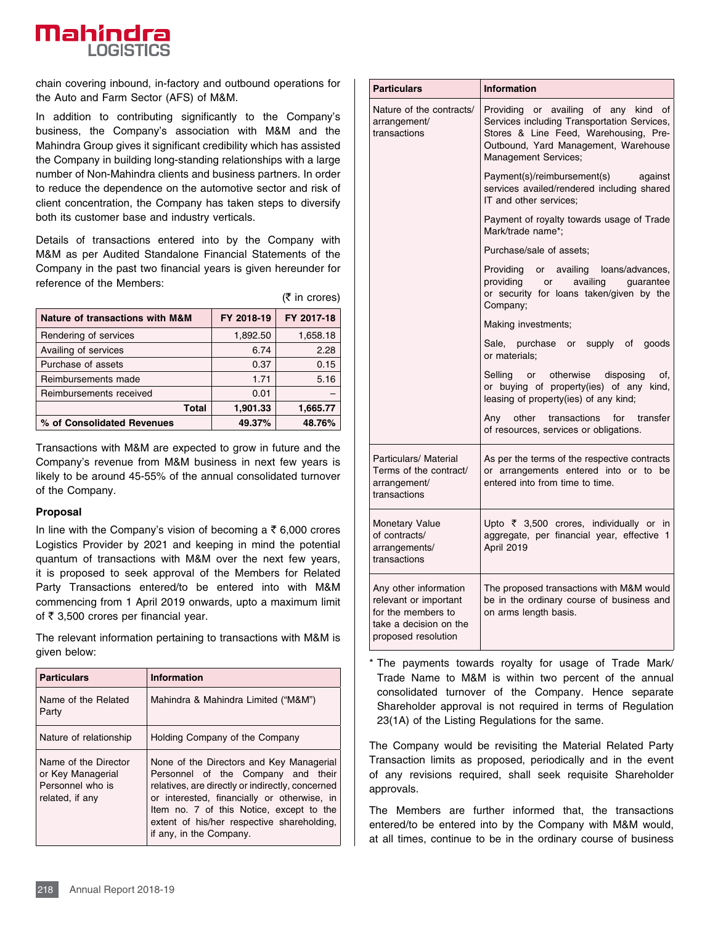

chain covering inbound, in-factory and outbound operations for the Auto and Farm Sector (AFS) of M&M.

In addition to contributing significantly to the Company's business, the Company's association with M&M and the Mahindra Group gives it significant credibility which has assisted the Company in building long-standing relationships with a large number of Non-Mahindra clients and business partners. In order to reduce the dependence on the automotive sector and risk of client concentration, the Company has taken steps to diversify both its customer base and industry verticals.

Details of transactions entered into by the Company with M&M as per Audited Standalone Financial Statements of the Company in the past two financial years is given hereunder for reference of the Members:

|                                 |            | $(5 \text{ in crores})$ |
|---------------------------------|------------|-------------------------|
| Nature of transactions with M&M | FY 2018-19 | FY 2017-18              |
| Rendering of services           | 1,892.50   | 1,658.18                |
| Availing of services            | 6.74       | 2.28                    |
| Purchase of assets              | 0.37       | 0.15                    |
| Reimbursements made             | 1.71       | 5.16                    |
| Reimbursements received         | 0.01       |                         |
| <b>Total</b>                    | 1,901.33   | 1,665.77                |
| % of Consolidated Revenues      | 49.37%     | 48.76%                  |

Transactions with M&M are expected to grow in future and the Company's revenue from M&M business in next few years is likely to be around 45-55% of the annual consolidated turnover of the Company.

#### **Proposal**

In line with the Company's vision of becoming a  $\bar{\tau}$  6,000 crores Logistics Provider by 2021 and keeping in mind the potential quantum of transactions with M&M over the next few years, it is proposed to seek approval of the Members for Related Party Transactions entered/to be entered into with M&M commencing from 1 April 2019 onwards, upto a maximum limit of  $\bar{\tau}$  3,500 crores per financial year.

The relevant information pertaining to transactions with M&M is given below:

| <b>Particulars</b>                                                               | <b>Information</b>                                                                                                                                                                                                                                                                                     |  |  |
|----------------------------------------------------------------------------------|--------------------------------------------------------------------------------------------------------------------------------------------------------------------------------------------------------------------------------------------------------------------------------------------------------|--|--|
| Name of the Related<br>Party                                                     | Mahindra & Mahindra Limited ("M&M")                                                                                                                                                                                                                                                                    |  |  |
| Nature of relationship                                                           | Holding Company of the Company                                                                                                                                                                                                                                                                         |  |  |
| Name of the Director<br>or Key Managerial<br>Personnel who is<br>related, if any | None of the Directors and Key Managerial<br>Personnel of the Company and their<br>relatives, are directly or indirectly, concerned<br>or interested, financially or otherwise, in<br>Item no. 7 of this Notice, except to the<br>extent of his/her respective shareholding,<br>if any, in the Company. |  |  |
| Annual Report 2018-19<br>218                                                     |                                                                                                                                                                                                                                                                                                        |  |  |

| <b>Particulars</b>                                                                                                    | <b>Information</b>                                                                                                                                                                                     |  |
|-----------------------------------------------------------------------------------------------------------------------|--------------------------------------------------------------------------------------------------------------------------------------------------------------------------------------------------------|--|
| Nature of the contracts/<br>arrangement/<br>transactions                                                              | Providing or availing of any kind<br>of<br>Services including Transportation Services,<br>Stores & Line Feed, Warehousing, Pre-<br>Outbound, Yard Management, Warehouse<br><b>Management Services;</b> |  |
|                                                                                                                       | Payment(s)/reimbursement(s)<br>against<br>services availed/rendered including shared<br>IT and other services:                                                                                         |  |
|                                                                                                                       | Payment of royalty towards usage of Trade<br>Mark/trade name*;                                                                                                                                         |  |
|                                                                                                                       | Purchase/sale of assets;                                                                                                                                                                               |  |
|                                                                                                                       | Providing<br>or availing loans/advances,<br>providing<br>or availing guarantee<br>or security for loans taken/given by the<br>Company;                                                                 |  |
|                                                                                                                       | Making investments;                                                                                                                                                                                    |  |
|                                                                                                                       | Sale, purchase or supply of<br>goods<br>or materials;                                                                                                                                                  |  |
|                                                                                                                       | Selling or otherwise disposing<br>of,<br>or buying of property(ies) of any kind,<br>leasing of property(ies) of any kind;                                                                              |  |
|                                                                                                                       | other transactions for transfer<br>Any<br>of resources, services or obligations.                                                                                                                       |  |
| Particulars/ Material<br>Terms of the contract/<br>arrangement/<br>transactions                                       | As per the terms of the respective contracts<br>or arrangements entered into or to be<br>entered into from time to time.                                                                               |  |
| <b>Monetary Value</b><br>of contracts/<br>arrangements/<br>transactions                                               | Upto ₹ 3,500 crores, individually or in<br>aggregate, per financial year, effective 1<br>April 2019                                                                                                    |  |
| Any other information<br>relevant or important<br>for the members to<br>take a decision on the<br>proposed resolution | The proposed transactions with M&M would<br>be in the ordinary course of business and<br>on arms length basis.                                                                                         |  |

\* The payments towards royalty for usage of Trade Mark/ Trade Name to M&M is within two percent of the annual consolidated turnover of the Company. Hence separate Shareholder approval is not required in terms of Regulation 23(1A) of the Listing Regulations for the same.

The Company would be revisiting the Material Related Party Transaction limits as proposed, periodically and in the event of any revisions required, shall seek requisite Shareholder approvals.

The Members are further informed that, the transactions entered/to be entered into by the Company with M&M would, at all times, continue to be in the ordinary course of business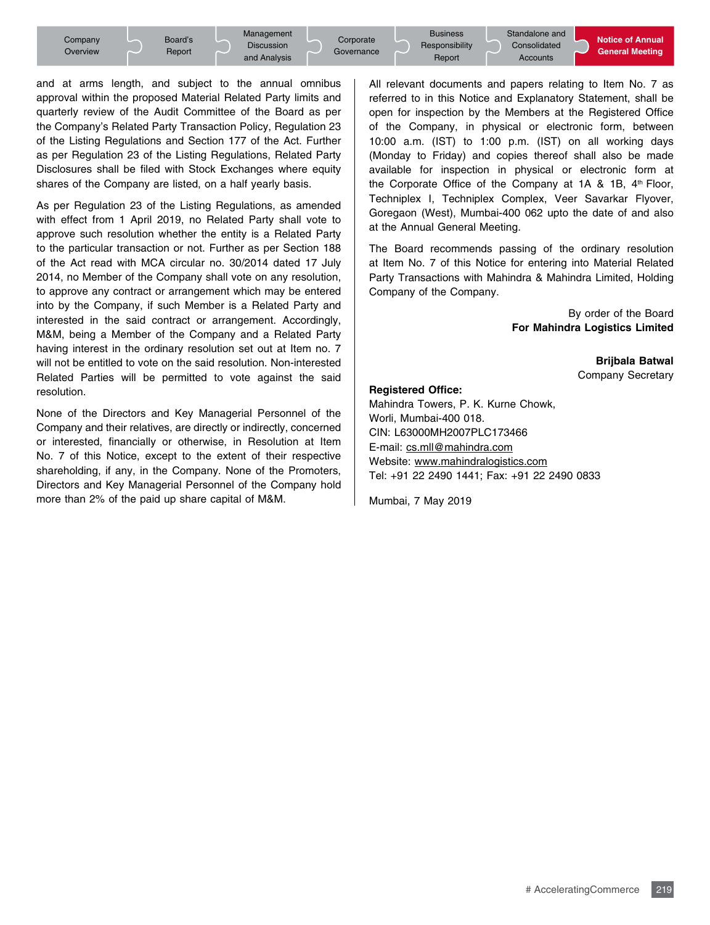

and at arms length, and subject to the annual omnibus approval within the proposed Material Related Party limits and quarterly review of the Audit Committee of the Board as per the Company's Related Party Transaction Policy, Regulation 23 of the Listing Regulations and Section 177 of the Act. Further as per Regulation 23 of the Listing Regulations, Related Party Disclosures shall be filed with Stock Exchanges where equity shares of the Company are listed, on a half yearly basis.

As per Regulation 23 of the Listing Regulations, as amended with effect from 1 April 2019, no Related Party shall vote to approve such resolution whether the entity is a Related Party to the particular transaction or not. Further as per Section 188 of the Act read with MCA circular no. 30/2014 dated 17 July 2014, no Member of the Company shall vote on any resolution, to approve any contract or arrangement which may be entered into by the Company, if such Member is a Related Party and interested in the said contract or arrangement. Accordingly, M&M, being a Member of the Company and a Related Party having interest in the ordinary resolution set out at Item no. 7 will not be entitled to vote on the said resolution. Non-interested Related Parties will be permitted to vote against the said resolution.

None of the Directors and Key Managerial Personnel of the Company and their relatives, are directly or indirectly, concerned or interested, financially or otherwise, in Resolution at Item No. 7 of this Notice, except to the extent of their respective shareholding, if any, in the Company. None of the Promoters, Directors and Key Managerial Personnel of the Company hold more than 2% of the paid up share capital of M&M.

All relevant documents and papers relating to Item No. 7 as referred to in this Notice and Explanatory Statement, shall be open for inspection by the Members at the Registered Office of the Company, in physical or electronic form, between 10:00 a.m. (IST) to 1:00 p.m. (IST) on all working days (Monday to Friday) and copies thereof shall also be made available for inspection in physical or electronic form at the Corporate Office of the Company at  $1A \& 1B$ ,  $4<sup>th</sup>$  Floor, Techniplex I, Techniplex Complex, Veer Savarkar Flyover, Goregaon (West), Mumbai-400 062 upto the date of and also at the Annual General Meeting.

The Board recommends passing of the ordinary resolution at Item No. 7 of this Notice for entering into Material Related Party Transactions with Mahindra & Mahindra Limited, Holding Company of the Company.

> By order of the Board **For Mahindra Logistics Limited**

#### **Brijbala Batwal**  Company Secretary

#### **Registered Office:**

Mahindra Towers, P. K. Kurne Chowk, Worli, Mumbai-400 018. CIN: L63000MH2007PLC173466 E-mail: cs.mll@mahindra.com Website: www.mahindralogistics.com Tel: +91 22 2490 1441; Fax: +91 22 2490 0833

Mumbai, 7 May 2019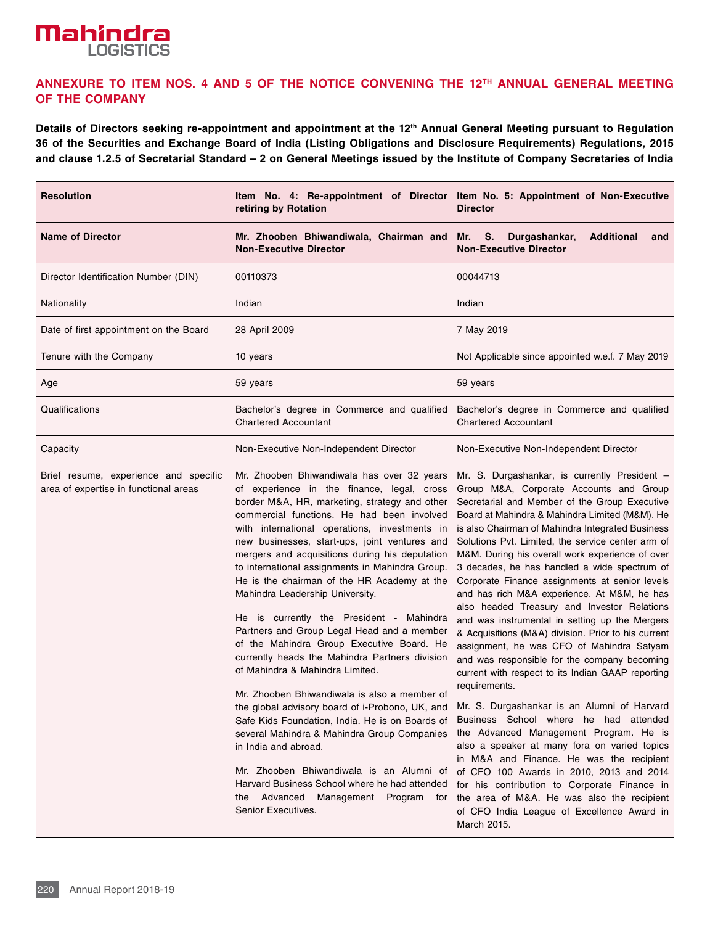## **Mahindra LOGISTICS**

## **Annexure to Item Nos. 4 and 5 of the Notice convening the 12th Annual General Meeting of the Company**

**Details of Directors seeking re-appointment and appointment at the 12th Annual General Meeting pursuant to Regulation 36 of the Securities and Exchange Board of India (Listing Obligations and Disclosure Requirements) Regulations, 2015 and clause 1.2.5 of Secretarial Standard – 2 on General Meetings issued by the Institute of Company Secretaries of India**

| <b>Resolution</b>                                                              | Item No. 4: Re-appointment of Director<br>retiring by Rotation                                                                                                                                                                                                                                                                                                                                                                                                                                                                                                                                                                                                                                                                                                                                                                                                                                                                                                                                                                                                                                      | Item No. 5: Appointment of Non-Executive<br><b>Director</b>                                                                                                                                                                                                                                                                                                                                                                                                                                                                                                                                                                                                                                                                                                                                                                                                                                                                                                                                                                                                                                                                                                                                                                                                              |  |
|--------------------------------------------------------------------------------|-----------------------------------------------------------------------------------------------------------------------------------------------------------------------------------------------------------------------------------------------------------------------------------------------------------------------------------------------------------------------------------------------------------------------------------------------------------------------------------------------------------------------------------------------------------------------------------------------------------------------------------------------------------------------------------------------------------------------------------------------------------------------------------------------------------------------------------------------------------------------------------------------------------------------------------------------------------------------------------------------------------------------------------------------------------------------------------------------------|--------------------------------------------------------------------------------------------------------------------------------------------------------------------------------------------------------------------------------------------------------------------------------------------------------------------------------------------------------------------------------------------------------------------------------------------------------------------------------------------------------------------------------------------------------------------------------------------------------------------------------------------------------------------------------------------------------------------------------------------------------------------------------------------------------------------------------------------------------------------------------------------------------------------------------------------------------------------------------------------------------------------------------------------------------------------------------------------------------------------------------------------------------------------------------------------------------------------------------------------------------------------------|--|
| <b>Name of Director</b>                                                        | Mr. Zhooben Bhiwandiwala, Chairman and<br><b>Non-Executive Director</b>                                                                                                                                                                                                                                                                                                                                                                                                                                                                                                                                                                                                                                                                                                                                                                                                                                                                                                                                                                                                                             | Durgashankar,<br>S.<br><b>Additional</b><br>Mr.<br>and<br><b>Non-Executive Director</b>                                                                                                                                                                                                                                                                                                                                                                                                                                                                                                                                                                                                                                                                                                                                                                                                                                                                                                                                                                                                                                                                                                                                                                                  |  |
| Director Identification Number (DIN)                                           | 00110373                                                                                                                                                                                                                                                                                                                                                                                                                                                                                                                                                                                                                                                                                                                                                                                                                                                                                                                                                                                                                                                                                            | 00044713                                                                                                                                                                                                                                                                                                                                                                                                                                                                                                                                                                                                                                                                                                                                                                                                                                                                                                                                                                                                                                                                                                                                                                                                                                                                 |  |
| Nationality                                                                    | Indian                                                                                                                                                                                                                                                                                                                                                                                                                                                                                                                                                                                                                                                                                                                                                                                                                                                                                                                                                                                                                                                                                              | Indian                                                                                                                                                                                                                                                                                                                                                                                                                                                                                                                                                                                                                                                                                                                                                                                                                                                                                                                                                                                                                                                                                                                                                                                                                                                                   |  |
| Date of first appointment on the Board                                         | 28 April 2009                                                                                                                                                                                                                                                                                                                                                                                                                                                                                                                                                                                                                                                                                                                                                                                                                                                                                                                                                                                                                                                                                       | 7 May 2019                                                                                                                                                                                                                                                                                                                                                                                                                                                                                                                                                                                                                                                                                                                                                                                                                                                                                                                                                                                                                                                                                                                                                                                                                                                               |  |
| Tenure with the Company                                                        | 10 years                                                                                                                                                                                                                                                                                                                                                                                                                                                                                                                                                                                                                                                                                                                                                                                                                                                                                                                                                                                                                                                                                            | Not Applicable since appointed w.e.f. 7 May 2019                                                                                                                                                                                                                                                                                                                                                                                                                                                                                                                                                                                                                                                                                                                                                                                                                                                                                                                                                                                                                                                                                                                                                                                                                         |  |
| Age                                                                            | 59 years                                                                                                                                                                                                                                                                                                                                                                                                                                                                                                                                                                                                                                                                                                                                                                                                                                                                                                                                                                                                                                                                                            | 59 years                                                                                                                                                                                                                                                                                                                                                                                                                                                                                                                                                                                                                                                                                                                                                                                                                                                                                                                                                                                                                                                                                                                                                                                                                                                                 |  |
| Qualifications                                                                 | Bachelor's degree in Commerce and qualified<br><b>Chartered Accountant</b>                                                                                                                                                                                                                                                                                                                                                                                                                                                                                                                                                                                                                                                                                                                                                                                                                                                                                                                                                                                                                          | Bachelor's degree in Commerce and qualified<br><b>Chartered Accountant</b>                                                                                                                                                                                                                                                                                                                                                                                                                                                                                                                                                                                                                                                                                                                                                                                                                                                                                                                                                                                                                                                                                                                                                                                               |  |
| Capacity                                                                       | Non-Executive Non-Independent Director                                                                                                                                                                                                                                                                                                                                                                                                                                                                                                                                                                                                                                                                                                                                                                                                                                                                                                                                                                                                                                                              | Non-Executive Non-Independent Director                                                                                                                                                                                                                                                                                                                                                                                                                                                                                                                                                                                                                                                                                                                                                                                                                                                                                                                                                                                                                                                                                                                                                                                                                                   |  |
| Brief resume, experience and specific<br>area of expertise in functional areas | Mr. Zhooben Bhiwandiwala has over 32 years<br>of experience in the finance, legal, cross<br>border M&A, HR, marketing, strategy and other<br>commercial functions. He had been involved<br>with international operations, investments in<br>new businesses, start-ups, joint ventures and<br>mergers and acquisitions during his deputation<br>to international assignments in Mahindra Group.<br>He is the chairman of the HR Academy at the<br>Mahindra Leadership University.<br>He is currently the President - Mahindra<br>Partners and Group Legal Head and a member<br>of the Mahindra Group Executive Board. He<br>currently heads the Mahindra Partners division<br>of Mahindra & Mahindra Limited.<br>Mr. Zhooben Bhiwandiwala is also a member of<br>the global advisory board of i-Probono, UK, and<br>Safe Kids Foundation, India. He is on Boards of<br>several Mahindra & Mahindra Group Companies<br>in India and abroad.<br>Mr. Zhooben Bhiwandiwala is an Alumni of<br>Harvard Business School where he had attended<br>the Advanced Management Program for<br>Senior Executives. | Mr. S. Durgashankar, is currently President -<br>Group M&A, Corporate Accounts and Group<br>Secretarial and Member of the Group Executive<br>Board at Mahindra & Mahindra Limited (M&M). He<br>is also Chairman of Mahindra Integrated Business<br>Solutions Pvt. Limited, the service center arm of<br>M&M. During his overall work experience of over<br>3 decades, he has handled a wide spectrum of<br>Corporate Finance assignments at senior levels<br>and has rich M&A experience. At M&M, he has<br>also headed Treasury and Investor Relations<br>and was instrumental in setting up the Mergers<br>& Acquisitions (M&A) division. Prior to his current<br>assignment, he was CFO of Mahindra Satyam<br>and was responsible for the company becoming<br>current with respect to its Indian GAAP reporting<br>requirements.<br>Mr. S. Durgashankar is an Alumni of Harvard<br>Business School where he had attended<br>the Advanced Management Program. He is<br>also a speaker at many fora on varied topics<br>in M&A and Finance. He was the recipient<br>of CFO 100 Awards in 2010, 2013 and 2014<br>for his contribution to Corporate Finance in<br>the area of M&A. He was also the recipient<br>of CFO India League of Excellence Award in<br>March 2015. |  |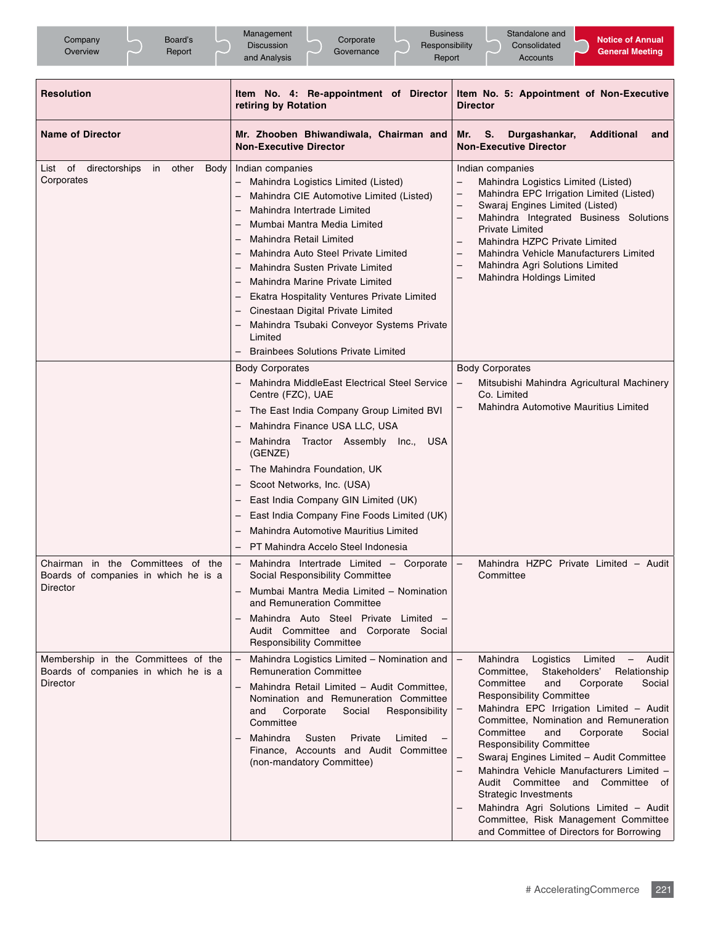| Company<br>Board's<br>Overview<br>Report                                                                                                            | Management<br><b>Business</b><br>Corporate<br><b>Discussion</b><br>Responsibility<br>Governance<br>Report<br>and Analysis                                                                                                                                                                                                                                                                                                                                                                                                                                                                                                                                                                                                                                                                                                                                                                                                                                                                                                                                                                                                                                                                                                                                                                                                                                                                                                                | Standalone and<br><b>Notice of Annual</b><br>Consolidated<br><b>General Meeting</b><br><b>Accounts</b>                                                                                                                                                                                                                                                                                                                                                                                                                                                                                                                                                                                       |
|-----------------------------------------------------------------------------------------------------------------------------------------------------|------------------------------------------------------------------------------------------------------------------------------------------------------------------------------------------------------------------------------------------------------------------------------------------------------------------------------------------------------------------------------------------------------------------------------------------------------------------------------------------------------------------------------------------------------------------------------------------------------------------------------------------------------------------------------------------------------------------------------------------------------------------------------------------------------------------------------------------------------------------------------------------------------------------------------------------------------------------------------------------------------------------------------------------------------------------------------------------------------------------------------------------------------------------------------------------------------------------------------------------------------------------------------------------------------------------------------------------------------------------------------------------------------------------------------------------|----------------------------------------------------------------------------------------------------------------------------------------------------------------------------------------------------------------------------------------------------------------------------------------------------------------------------------------------------------------------------------------------------------------------------------------------------------------------------------------------------------------------------------------------------------------------------------------------------------------------------------------------------------------------------------------------|
| <b>Resolution</b>                                                                                                                                   | Item No. 4: Re-appointment of Director<br>retiring by Rotation                                                                                                                                                                                                                                                                                                                                                                                                                                                                                                                                                                                                                                                                                                                                                                                                                                                                                                                                                                                                                                                                                                                                                                                                                                                                                                                                                                           | Item No. 5: Appointment of Non-Executive<br><b>Director</b>                                                                                                                                                                                                                                                                                                                                                                                                                                                                                                                                                                                                                                  |
| <b>Name of Director</b>                                                                                                                             | Mr. Zhooben Bhiwandiwala, Chairman and<br><b>Non-Executive Director</b>                                                                                                                                                                                                                                                                                                                                                                                                                                                                                                                                                                                                                                                                                                                                                                                                                                                                                                                                                                                                                                                                                                                                                                                                                                                                                                                                                                  | Durgashankar,<br><b>Additional</b><br>Mr.<br>S.<br>and<br><b>Non-Executive Director</b>                                                                                                                                                                                                                                                                                                                                                                                                                                                                                                                                                                                                      |
| List of directorships<br>in<br>other<br>Body<br>Corporates<br>Chairman in the Committees of the<br>Boards of companies in which he is a<br>Director | Indian companies<br>Mahindra Logistics Limited (Listed)<br>Mahindra CIE Automotive Limited (Listed)<br>$\overline{\phantom{0}}$<br>Mahindra Intertrade Limited<br>$\overline{\phantom{0}}$<br>Mumbai Mantra Media Limited<br>$\overline{\phantom{0}}$<br><b>Mahindra Retail Limited</b><br>$\overline{\phantom{0}}$<br>Mahindra Auto Steel Private Limited<br>$\overline{\phantom{0}}$<br>Mahindra Susten Private Limited<br>$\overline{\phantom{0}}$<br>Mahindra Marine Private Limited<br>$\overline{\phantom{0}}$<br>Ekatra Hospitality Ventures Private Limited<br>—<br>Cinestaan Digital Private Limited<br>—<br>Mahindra Tsubaki Conveyor Systems Private<br>—<br>Limited<br><b>Brainbees Solutions Private Limited</b><br><b>Body Corporates</b><br>Mahindra MiddleEast Electrical Steel Service<br>Centre (FZC), UAE<br>The East India Company Group Limited BVI<br>$\overline{\phantom{0}}$<br>Mahindra Finance USA LLC, USA<br>Mahindra Tractor Assembly Inc.,<br><b>USA</b><br>(GENZE)<br>The Mahindra Foundation, UK<br>Scoot Networks, Inc. (USA)<br>East India Company GIN Limited (UK)<br>-<br>East India Company Fine Foods Limited (UK)<br>Mahindra Automotive Mauritius Limited<br>PT Mahindra Accelo Steel Indonesia<br>Mahindra Intertrade Limited - Corporate<br>Social Responsibility Committee<br>Mumbai Mantra Media Limited - Nomination<br>and Remuneration Committee<br>Mahindra Auto Steel Private Limited - | Indian companies<br>$\overline{a}$<br>Mahindra Logistics Limited (Listed)<br>Mahindra EPC Irrigation Limited (Listed)<br>-<br>Swaraj Engines Limited (Listed)<br>Mahindra Integrated Business Solutions<br>$\qquad \qquad -$<br><b>Private Limited</b><br>Mahindra HZPC Private Limited<br>Mahindra Vehicle Manufacturers Limited<br>Mahindra Agri Solutions Limited<br>$\overline{\phantom{0}}$<br>Mahindra Holdings Limited<br><b>Body Corporates</b><br>Mitsubishi Mahindra Agricultural Machinery<br>$\overline{\phantom{0}}$<br>Co. Limited<br>Mahindra Automotive Mauritius Limited<br>Mahindra HZPC Private Limited - Audit<br>$\overline{\phantom{0}}$<br>Committee                  |
| Membership in the Committees of the<br>Boards of companies in which he is a<br>Director                                                             | Audit Committee and Corporate Social<br><b>Responsibility Committee</b><br>Mahindra Logistics Limited - Nomination and<br><b>Remuneration Committee</b><br>Mahindra Retail Limited - Audit Committee,<br>Nomination and Remuneration Committee<br>and<br>Corporate<br>Social<br>Responsibility<br>Committee<br>Susten<br>Mahindra<br>Private<br>Limited<br>$\qquad \qquad -$<br>Finance, Accounts and Audit Committee<br>(non-mandatory Committee)                                                                                                                                                                                                                                                                                                                                                                                                                                                                                                                                                                                                                                                                                                                                                                                                                                                                                                                                                                                       | $\overline{\phantom{0}}$<br>Mahindra<br>Logistics<br>Limited<br>Audit<br>$\overline{\phantom{m}}$<br>Stakeholders'<br>Relationship<br>Committee,<br>Committee<br>and<br>Corporate<br>Social<br><b>Responsibility Committee</b><br>Mahindra EPC Irrigation Limited - Audit<br>Committee, Nomination and Remuneration<br>Committee<br>and<br>Corporate<br>Social<br><b>Responsibility Committee</b><br>Swaraj Engines Limited - Audit Committee<br>Mahindra Vehicle Manufacturers Limited -<br>Audit Committee and Committee of<br><b>Strategic Investments</b><br>Mahindra Agri Solutions Limited - Audit<br>Committee, Risk Management Committee<br>and Committee of Directors for Borrowing |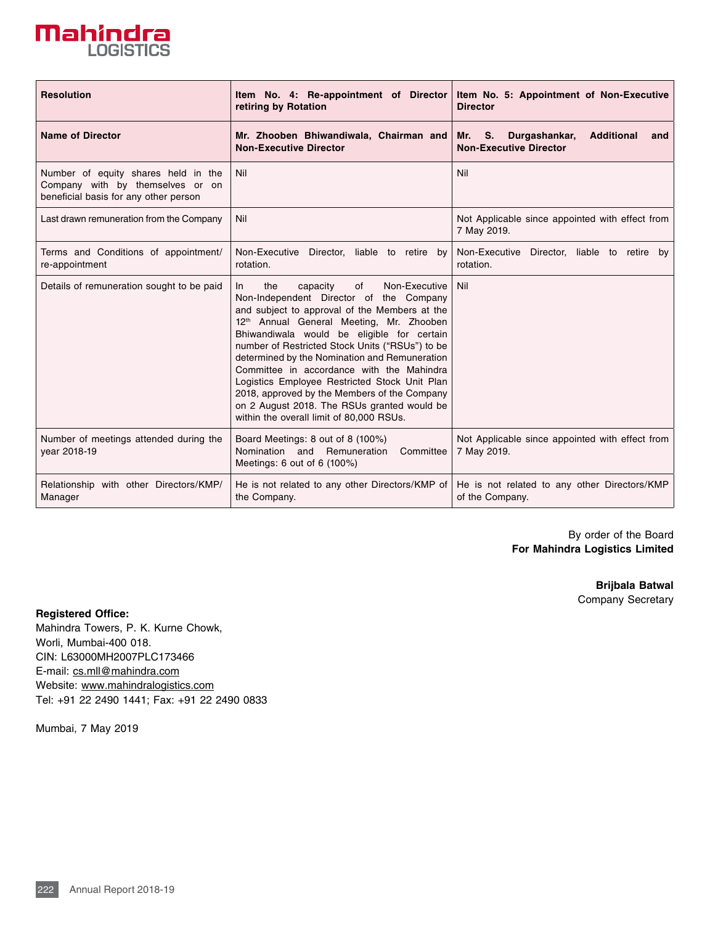

| <b>Resolution</b>                                                                                                | Item No. 4: Re-appointment of Director<br>retiring by Rotation                                                                                                                                                                                                                                                                                                                                                                                                                                                                                                                               | Item No. 5: Appointment of Non-Executive<br><b>Director</b>                          |
|------------------------------------------------------------------------------------------------------------------|----------------------------------------------------------------------------------------------------------------------------------------------------------------------------------------------------------------------------------------------------------------------------------------------------------------------------------------------------------------------------------------------------------------------------------------------------------------------------------------------------------------------------------------------------------------------------------------------|--------------------------------------------------------------------------------------|
| <b>Name of Director</b>                                                                                          | Mr. Zhooben Bhiwandiwala, Chairman and<br><b>Non-Executive Director</b>                                                                                                                                                                                                                                                                                                                                                                                                                                                                                                                      | Durgashankar,<br><b>Additional</b><br>Mr. S.<br>and<br><b>Non-Executive Director</b> |
| Number of equity shares held in the<br>Company with by themselves or on<br>beneficial basis for any other person | Nil                                                                                                                                                                                                                                                                                                                                                                                                                                                                                                                                                                                          | Nil                                                                                  |
| Last drawn remuneration from the Company                                                                         | Nil                                                                                                                                                                                                                                                                                                                                                                                                                                                                                                                                                                                          | Not Applicable since appointed with effect from<br>7 May 2019.                       |
| Terms and Conditions of appointment/<br>re-appointment                                                           | Non-Executive Director, liable to retire by<br>rotation.                                                                                                                                                                                                                                                                                                                                                                                                                                                                                                                                     | Non-Executive<br>Director, liable to retire by<br>rotation.                          |
| Details of remuneration sought to be paid                                                                        | the<br>capacity<br>of<br>Non-Executive<br>In.<br>Non-Independent Director of the Company<br>and subject to approval of the Members at the<br>12 <sup>th</sup> Annual General Meeting, Mr. Zhooben<br>Bhiwandiwala would be eligible for certain<br>number of Restricted Stock Units ("RSUs") to be<br>determined by the Nomination and Remuneration<br>Committee in accordance with the Mahindra<br>Logistics Employee Restricted Stock Unit Plan<br>2018, approved by the Members of the Company<br>on 2 August 2018. The RSUs granted would be<br>within the overall limit of 80,000 RSUs. | Nil                                                                                  |
| Number of meetings attended during the<br>year 2018-19                                                           | Board Meetings: 8 out of 8 (100%)<br>Nomination and Remuneration<br>Committee<br>Meetings: 6 out of 6 (100%)                                                                                                                                                                                                                                                                                                                                                                                                                                                                                 | Not Applicable since appointed with effect from<br>7 May 2019.                       |
| Relationship with other Directors/KMP/<br>Manager                                                                | He is not related to any other Directors/KMP of<br>the Company.                                                                                                                                                                                                                                                                                                                                                                                                                                                                                                                              | He is not related to any other Directors/KMP<br>of the Company.                      |

By order of the Board **For Mahindra Logistics Limited**

> **Brijbala Batwal**  Company Secretary

**Registered Office:**

Mahindra Towers, P. K. Kurne Chowk, Worli, Mumbai-400 018. CIN: L63000MH2007PLC173466 E-mail: cs.mll@mahindra.com Website: www.mahindralogistics.com Tel: +91 22 2490 1441; Fax: +91 22 2490 0833

Mumbai, 7 May 2019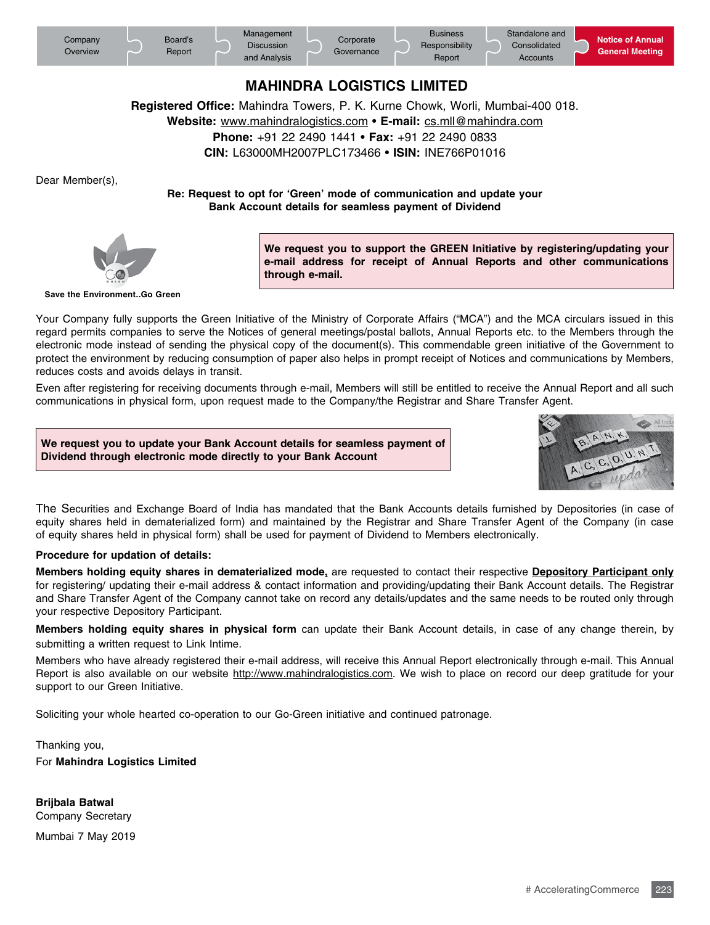

## **MAHINDRA LOGISTICS LIMITED**

**Registered Office:** Mahindra Towers, P. K. Kurne Chowk, Worli, Mumbai-400 018.

**Website:** www.mahindralogistics.com • **E-mail:** cs.mll@mahindra.com

**Phone:** +91 22 2490 1441 • **Fax:** +91 22 2490 0833

**CIN:** L63000MH2007PLC173466 • **ISIN:** INE766P01016

Dear Member(s),

**Re: Request to opt for 'Green' mode of communication and update your Bank Account details for seamless payment of Dividend**



**We request you to support the GREEN Initiative by registering/updating your e-mail address for receipt of Annual Reports and other communications through e-mail.**

**Save the Environment..Go Green**

Your Company fully supports the Green Initiative of the Ministry of Corporate Affairs ("MCA") and the MCA circulars issued in this regard permits companies to serve the Notices of general meetings/postal ballots, Annual Reports etc. to the Members through the electronic mode instead of sending the physical copy of the document(s). This commendable green initiative of the Government to protect the environment by reducing consumption of paper also helps in prompt receipt of Notices and communications by Members, reduces costs and avoids delays in transit.

Even after registering for receiving documents through e-mail, Members will still be entitled to receive the Annual Report and all such communications in physical form, upon request made to the Company/the Registrar and Share Transfer Agent.

**We request you to update your Bank Account details for seamless payment of Dividend through electronic mode directly to your Bank Account**



The Securities and Exchange Board of India has mandated that the Bank Accounts details furnished by Depositories (in case of equity shares held in dematerialized form) and maintained by the Registrar and Share Transfer Agent of the Company (in case of equity shares held in physical form) shall be used for payment of Dividend to Members electronically.

#### **Procedure for updation of details:**

**Members holding equity shares in dematerialized mode,** are requested to contact their respective **Depository Participant only** for registering/ updating their e-mail address & contact information and providing/updating their Bank Account details. The Registrar and Share Transfer Agent of the Company cannot take on record any details/updates and the same needs to be routed only through your respective Depository Participant.

**Members holding equity shares in physical form** can update their Bank Account details, in case of any change therein, by submitting a written request to Link Intime.

Members who have already registered their e-mail address, will receive this Annual Report electronically through e-mail. This Annual Report is also available on our website http://www.mahindralogistics.com. We wish to place on record our deep gratitude for your support to our Green Initiative.

Soliciting your whole hearted co-operation to our Go-Green initiative and continued patronage.

Thanking you, For **Mahindra Logistics Limited**

**Brijbala Batwal** Company Secretary

Mumbai 7 May 2019